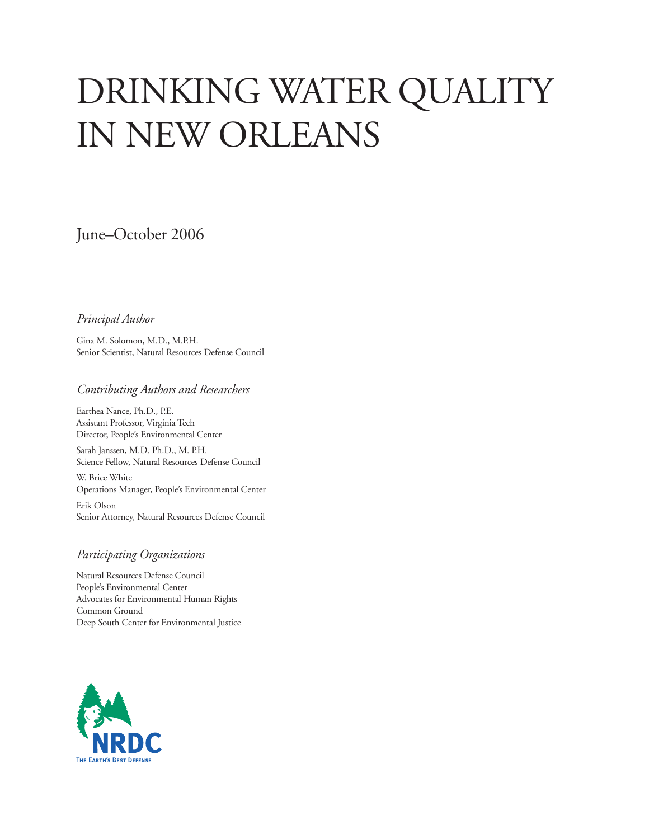# DRINKING WATER QUALITY in New Orleans

June–October 2006

#### *Principal Author*

Gina M. Solomon, M.D., M.P.H. Senior Scientist, Natural Resources Defense Council

#### *Contributing Authors and Researchers*

Earthea Nance, Ph.D., P.E. Assistant Professor, Virginia Tech Director, People's Environmental Center

Sarah Janssen, M.D. Ph.D., M. P.H. Science Fellow, Natural Resources Defense Council

W. Brice White Operations Manager, People's Environmental Center

Erik Olson Senior Attorney, Natural Resources Defense Council

#### *Participating Organizations*

Natural Resources Defense Council People's Environmental Center Advocates for Environmental Human Rights Common Ground Deep South Center for Environmental Justice

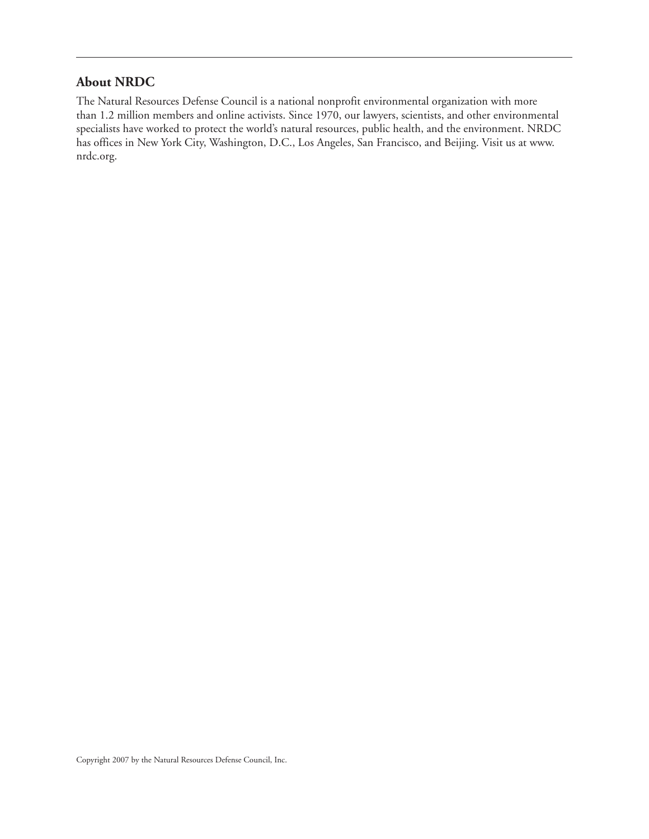#### **About NRDC**

The Natural Resources Defense Council is a national nonprofit environmental organization with more than 1.2 million members and online activists. Since 1970, our lawyers, scientists, and other environmental specialists have worked to protect the world's natural resources, public health, and the environment. NRDC has offices in New York City, Washington, D.C., Los Angeles, San Francisco, and Beijing. Visit us at www. nrdc.org.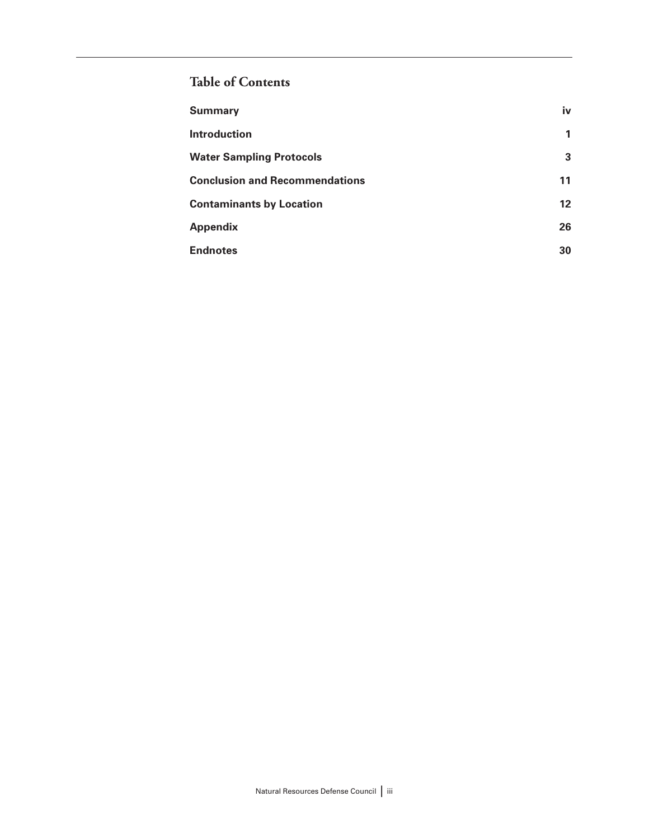# **Table of Contents**

| <b>Summary</b>                        | iv      |
|---------------------------------------|---------|
| <b>Introduction</b>                   | 1       |
| <b>Water Sampling Protocols</b>       | 3       |
| <b>Conclusion and Recommendations</b> | 11      |
| <b>Contaminants by Location</b>       | $12 \,$ |
| <b>Appendix</b>                       | 26      |
| <b>Endnotes</b>                       | 30      |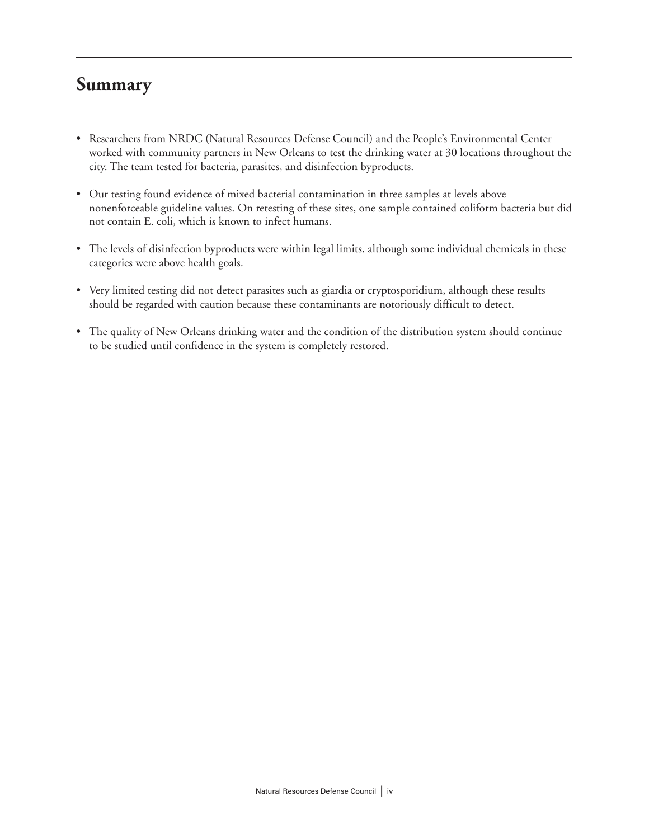# **Summary**

- Researchers from NRDC (Natural Resources Defense Council) and the People's Environmental Center worked with community partners in New Orleans to test the drinking water at 30 locations throughout the city. The team tested for bacteria, parasites, and disinfection byproducts.
- Our testing found evidence of mixed bacterial contamination in three samples at levels above nonenforceable guideline values. On retesting of these sites, one sample contained coliform bacteria but did not contain E. coli, which is known to infect humans.
- The levels of disinfection byproducts were within legal limits, although some individual chemicals in these categories were above health goals.
- Very limited testing did not detect parasites such as giardia or cryptosporidium, although these results should be regarded with caution because these contaminants are notoriously difficult to detect.
- The quality of New Orleans drinking water and the condition of the distribution system should continue to be studied until confidence in the system is completely restored.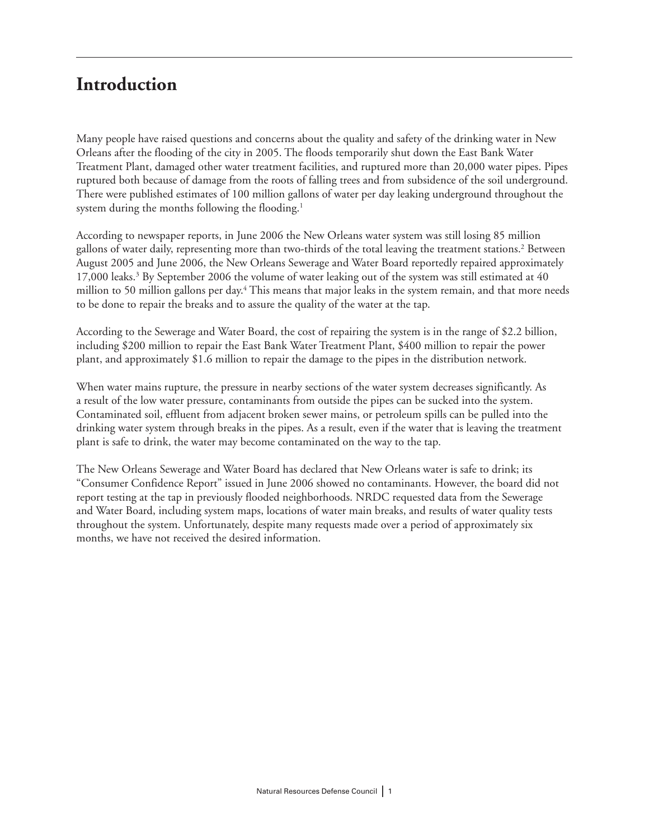# **Introduction**

Many people have raised questions and concerns about the quality and safety of the drinking water in New Orleans after the flooding of the city in 2005. The floods temporarily shut down the East Bank Water Treatment Plant, damaged other water treatment facilities, and ruptured more than 20,000 water pipes. Pipes ruptured both because of damage from the roots of falling trees and from subsidence of the soil underground. There were published estimates of 100 million gallons of water per day leaking underground throughout the system during the months following the flooding.<sup>1</sup>

According to newspaper reports, in June 2006 the New Orleans water system was still losing 85 million gallons of water daily, representing more than two-thirds of the total leaving the treatment stations.2 Between August 2005 and June 2006, the New Orleans Sewerage and Water Board reportedly repaired approximately 17,000 leaks.<sup>3</sup> By September 2006 the volume of water leaking out of the system was still estimated at 40 million to 50 million gallons per day.4 This means that major leaks in the system remain, and that more needs to be done to repair the breaks and to assure the quality of the water at the tap.

According to the Sewerage and Water Board, the cost of repairing the system is in the range of \$2.2 billion, including \$200 million to repair the East Bank Water Treatment Plant, \$400 million to repair the power plant, and approximately \$1.6 million to repair the damage to the pipes in the distribution network.

When water mains rupture, the pressure in nearby sections of the water system decreases significantly. As a result of the low water pressure, contaminants from outside the pipes can be sucked into the system. Contaminated soil, effluent from adjacent broken sewer mains, or petroleum spills can be pulled into the drinking water system through breaks in the pipes. As a result, even if the water that is leaving the treatment plant is safe to drink, the water may become contaminated on the way to the tap.

The New Orleans Sewerage and Water Board has declared that New Orleans water is safe to drink; its "Consumer Confidence Report" issued in June 2006 showed no contaminants. However, the board did not report testing at the tap in previously flooded neighborhoods. NRDC requested data from the Sewerage and Water Board, including system maps, locations of water main breaks, and results of water quality tests throughout the system. Unfortunately, despite many requests made over a period of approximately six months, we have not received the desired information.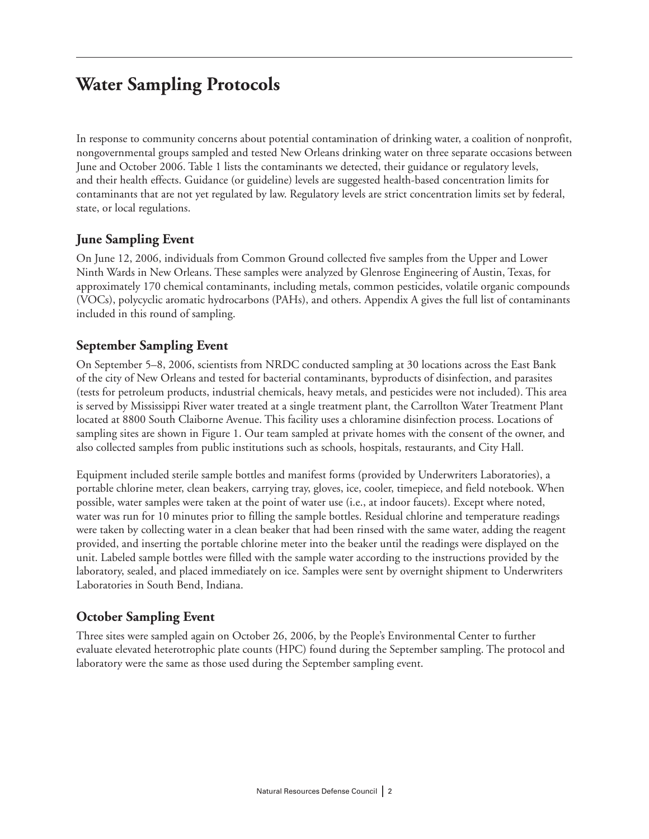# **Water Sampling Protocols**

In response to community concerns about potential contamination of drinking water, a coalition of nonprofit, nongovernmental groups sampled and tested New Orleans drinking water on three separate occasions between June and October 2006. Table 1 lists the contaminants we detected, their guidance or regulatory levels, and their health effects. Guidance (or guideline) levels are suggested health-based concentration limits for contaminants that are not yet regulated by law. Regulatory levels are strict concentration limits set by federal, state, or local regulations.

### **June Sampling Event**

On June 12, 2006, individuals from Common Ground collected five samples from the Upper and Lower Ninth Wards in New Orleans. These samples were analyzed by Glenrose Engineering of Austin, Texas, for approximately 170 chemical contaminants, including metals, common pesticides, volatile organic compounds (VOCs), polycyclic aromatic hydrocarbons (PAHs), and others. Appendix A gives the full list of contaminants included in this round of sampling.

### **September Sampling Event**

On September 5–8, 2006, scientists from NRDC conducted sampling at 30 locations across the East Bank of the city of New Orleans and tested for bacterial contaminants, byproducts of disinfection, and parasites (tests for petroleum products, industrial chemicals, heavy metals, and pesticides were not included). This area is served by Mississippi River water treated at a single treatment plant, the Carrollton Water Treatment Plant located at 8800 South Claiborne Avenue. This facility uses a chloramine disinfection process. Locations of sampling sites are shown in Figure 1. Our team sampled at private homes with the consent of the owner, and also collected samples from public institutions such as schools, hospitals, restaurants, and City Hall.

Equipment included sterile sample bottles and manifest forms (provided by Underwriters Laboratories), a portable chlorine meter, clean beakers, carrying tray, gloves, ice, cooler, timepiece, and field notebook. When possible, water samples were taken at the point of water use (i.e., at indoor faucets). Except where noted, water was run for 10 minutes prior to filling the sample bottles. Residual chlorine and temperature readings were taken by collecting water in a clean beaker that had been rinsed with the same water, adding the reagent provided, and inserting the portable chlorine meter into the beaker until the readings were displayed on the unit. Labeled sample bottles were filled with the sample water according to the instructions provided by the laboratory, sealed, and placed immediately on ice. Samples were sent by overnight shipment to Underwriters Laboratories in South Bend, Indiana.

### **October Sampling Event**

Three sites were sampled again on October 26, 2006, by the People's Environmental Center to further evaluate elevated heterotrophic plate counts (HPC) found during the September sampling. The protocol and laboratory were the same as those used during the September sampling event.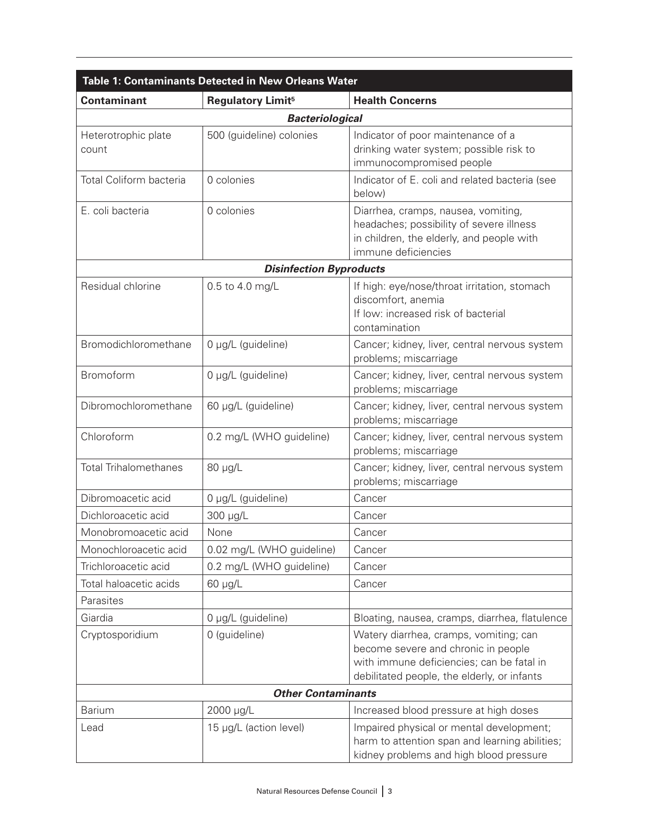| <b>Table 1: Contaminants Detected in New Orleans Water</b>                          |                                |                                                                                                                                                                           |  |  |  |  |
|-------------------------------------------------------------------------------------|--------------------------------|---------------------------------------------------------------------------------------------------------------------------------------------------------------------------|--|--|--|--|
| <b>Contaminant</b><br><b>Health Concerns</b><br><b>Regulatory Limit<sup>5</sup></b> |                                |                                                                                                                                                                           |  |  |  |  |
|                                                                                     | <b>Bacteriological</b>         |                                                                                                                                                                           |  |  |  |  |
| Heterotrophic plate<br>count                                                        | 500 (guideline) colonies       | Indicator of poor maintenance of a<br>drinking water system; possible risk to<br>immunocompromised people                                                                 |  |  |  |  |
| Total Coliform bacteria                                                             | 0 colonies                     | Indicator of E. coli and related bacteria (see<br>below)                                                                                                                  |  |  |  |  |
| E. coli bacteria                                                                    | 0 colonies                     | Diarrhea, cramps, nausea, vomiting,<br>headaches; possibility of severe illness<br>in children, the elderly, and people with<br>immune deficiencies                       |  |  |  |  |
|                                                                                     | <b>Disinfection Byproducts</b> |                                                                                                                                                                           |  |  |  |  |
| Residual chlorine                                                                   | 0.5 to 4.0 mg/L                | If high: eye/nose/throat irritation, stomach<br>discomfort, anemia<br>If low: increased risk of bacterial<br>contamination                                                |  |  |  |  |
| Bromodichloromethane                                                                | 0 µg/L (guideline)             | Cancer; kidney, liver, central nervous system<br>problems; miscarriage                                                                                                    |  |  |  |  |
| Bromoform                                                                           | 0 µg/L (guideline)             | Cancer; kidney, liver, central nervous system<br>problems; miscarriage                                                                                                    |  |  |  |  |
| Dibromochloromethane                                                                | 60 µg/L (guideline)            | Cancer; kidney, liver, central nervous system<br>problems; miscarriage                                                                                                    |  |  |  |  |
| Chloroform                                                                          | 0.2 mg/L (WHO guideline)       | Cancer; kidney, liver, central nervous system<br>problems; miscarriage                                                                                                    |  |  |  |  |
| <b>Total Trihalomethanes</b>                                                        | 80 µg/L                        | Cancer; kidney, liver, central nervous system<br>problems; miscarriage                                                                                                    |  |  |  |  |
| Dibromoacetic acid                                                                  | 0 µg/L (guideline)             | Cancer                                                                                                                                                                    |  |  |  |  |
| Dichloroacetic acid                                                                 | 300 µg/L                       | Cancer                                                                                                                                                                    |  |  |  |  |
| Monobromoacetic acid                                                                | None                           | Cancer                                                                                                                                                                    |  |  |  |  |
| Monochloroacetic acid                                                               | 0.02 mg/L (WHO guideline)      | Cancer                                                                                                                                                                    |  |  |  |  |
| Trichloroacetic acid                                                                | 0.2 mg/L (WHO guideline)       | Cancer                                                                                                                                                                    |  |  |  |  |
| Total haloacetic acids                                                              | 60 µg/L                        | Cancer                                                                                                                                                                    |  |  |  |  |
| Parasites                                                                           |                                |                                                                                                                                                                           |  |  |  |  |
| Giardia                                                                             | 0 µg/L (guideline)             | Bloating, nausea, cramps, diarrhea, flatulence                                                                                                                            |  |  |  |  |
| Cryptosporidium                                                                     | 0 (guideline)                  | Watery diarrhea, cramps, vomiting; can<br>become severe and chronic in people<br>with immune deficiencies; can be fatal in<br>debilitated people, the elderly, or infants |  |  |  |  |
|                                                                                     | <b>Other Contaminants</b>      |                                                                                                                                                                           |  |  |  |  |
| <b>Barium</b>                                                                       | 2000 µg/L                      | Increased blood pressure at high doses                                                                                                                                    |  |  |  |  |
| Lead                                                                                | 15 µg/L (action level)         | Impaired physical or mental development;<br>harm to attention span and learning abilities;<br>kidney problems and high blood pressure                                     |  |  |  |  |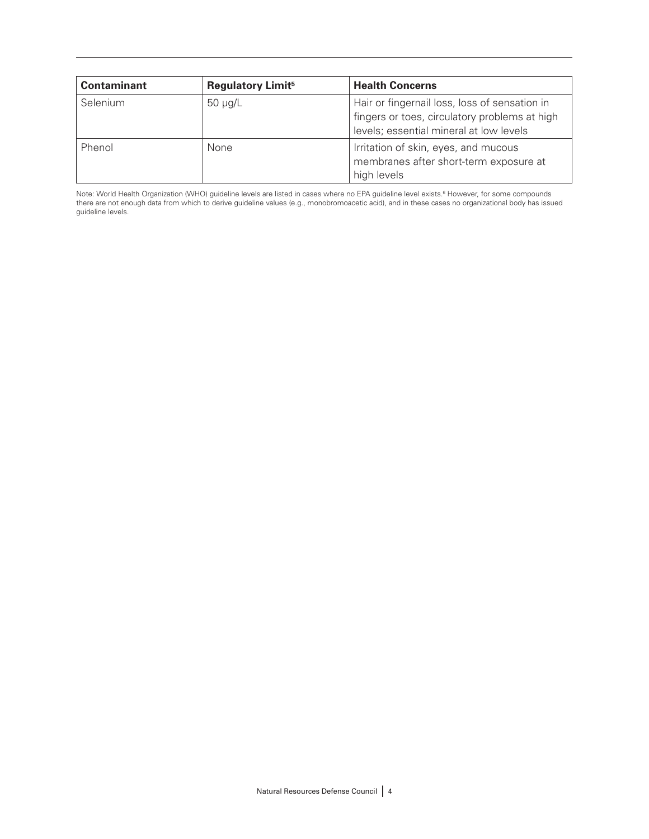| <b>Contaminant</b> | <b>Regulatory Limit<sup>5</sup></b> | <b>Health Concerns</b>                                                                                                                    |
|--------------------|-------------------------------------|-------------------------------------------------------------------------------------------------------------------------------------------|
| Selenium           | $50 \mu g/L$                        | Hair or fingernail loss, loss of sensation in<br>fingers or toes, circulatory problems at high<br>levels; essential mineral at low levels |
| Phenol             | None                                | Irritation of skin, eyes, and mucous<br>membranes after short-term exposure at<br>high levels                                             |

Note: World Health Organization (WHO) guideline levels are listed in cases where no EPA guideline level exists.<sup>6</sup> However, for some compounds there are not enough data from which to derive guideline values (e.g., monobromoacetic acid), and in these cases no organizational body has issued guideline levels.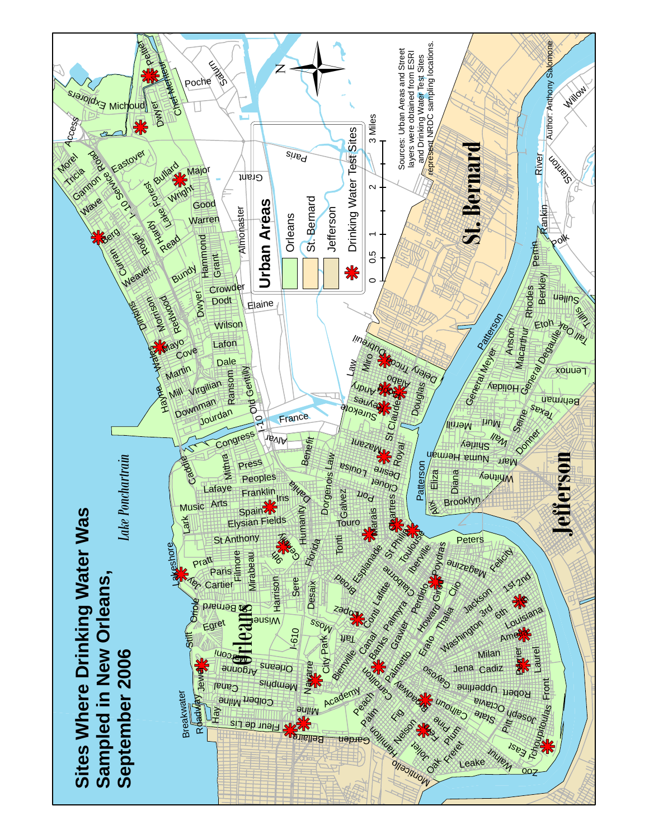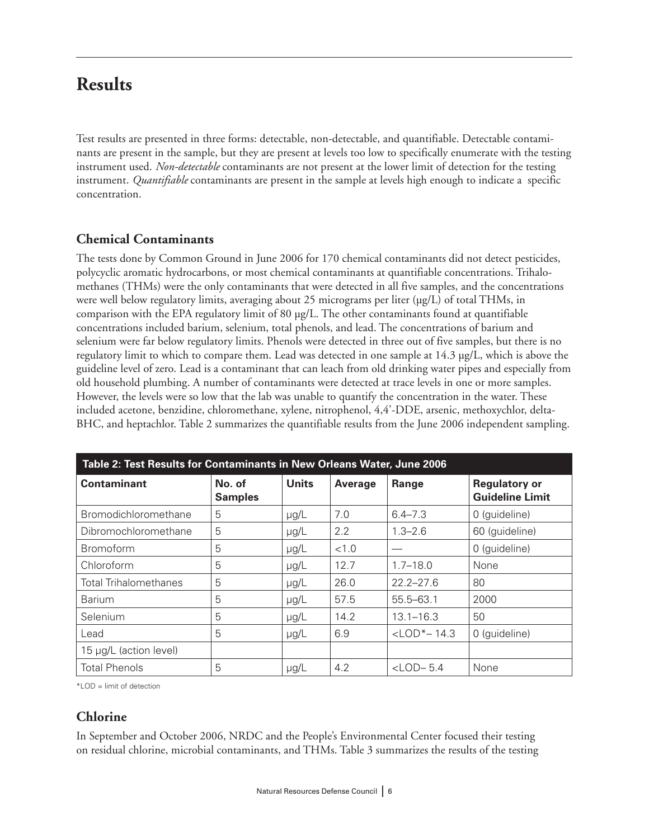# **Results**

Test results are presented in three forms: detectable, non-detectable, and quantifiable. Detectable contaminants are present in the sample, but they are present at levels too low to specifically enumerate with the testing instrument used. *Non-detectable* contaminants are not present at the lower limit of detection for the testing instrument. *Quantifiable* contaminants are present in the sample at levels high enough to indicate a specific concentration.

### **Chemical Contaminants**

The tests done by Common Ground in June 2006 for 170 chemical contaminants did not detect pesticides, polycyclic aromatic hydrocarbons, or most chemical contaminants at quantifiable concentrations. Trihalomethanes (THMs) were the only contaminants that were detected in all five samples, and the concentrations were well below regulatory limits, averaging about 25 micrograms per liter  $(\mu g/L)$  of total THMs, in comparison with the EPA regulatory limit of 80 µg/L. The other contaminants found at quantifiable concentrations included barium, selenium, total phenols, and lead. The concentrations of barium and selenium were far below regulatory limits. Phenols were detected in three out of five samples, but there is no regulatory limit to which to compare them. Lead was detected in one sample at 14.3 µg/L, which is above the guideline level of zero. Lead is a contaminant that can leach from old drinking water pipes and especially from old household plumbing. A number of contaminants were detected at trace levels in one or more samples. However, the levels were so low that the lab was unable to quantify the concentration in the water. These included acetone, benzidine, chloromethane, xylene, nitrophenol, 4,4'-DDE, arsenic, methoxychlor, delta-BHC, and heptachlor. Table 2 summarizes the quantifiable results from the June 2006 independent sampling.

| Table 2: Test Results for Contaminants in New Orleans Water, June 2006 |                          |              |         |                            |                                                |
|------------------------------------------------------------------------|--------------------------|--------------|---------|----------------------------|------------------------------------------------|
| <b>Contaminant</b>                                                     | No. of<br><b>Samples</b> | <b>Units</b> | Average | Range                      | <b>Regulatory or</b><br><b>Guideline Limit</b> |
| Bromodichloromethane                                                   | 5                        | $\mu$ g/L    | 7.0     | $6.4 - 7.3$                | 0 (guideline)                                  |
| Dibromochloromethane                                                   | 5                        | $\mu$ g/L    | 2.2     | $1.3 - 2.6$                | 60 (guideline)                                 |
| <b>Bromoform</b>                                                       | 5                        | $\mu$ g/L    | < 1.0   |                            | 0 (guideline)                                  |
| Chloroform                                                             | 5                        | $\mu$ g/L    | 12.7    | $1.7 - 18.0$               | None                                           |
| <b>Total Trihalomethanes</b>                                           | 5                        | $\mu$ g/L    | 26.0    | $22.2 - 27.6$              | 80                                             |
| <b>Barium</b>                                                          | 5                        | $\mu$ g/L    | 57.5    | $55.5 - 63.1$              | 2000                                           |
| Selenium                                                               | 5                        | $\mu$ g/L    | 14.2    | $13.1 - 16.3$              | 50                                             |
| Lead                                                                   | 5                        | $\mu$ g/L    | 6.9     | $<$ LOD <sup>*</sup> -14.3 | 0 (guideline)                                  |
| 15 µg/L (action level)                                                 |                          |              |         |                            |                                                |
| <b>Total Phenols</b>                                                   | 5                        | $\mu$ g/L    | 4.2     | $<$ LOD-5.4                | None                                           |

\*LOD = limit of detection

### **Chlorine**

In September and October 2006, NRDC and the People's Environmental Center focused their testing on residual chlorine, microbial contaminants, and THMs. Table 3 summarizes the results of the testing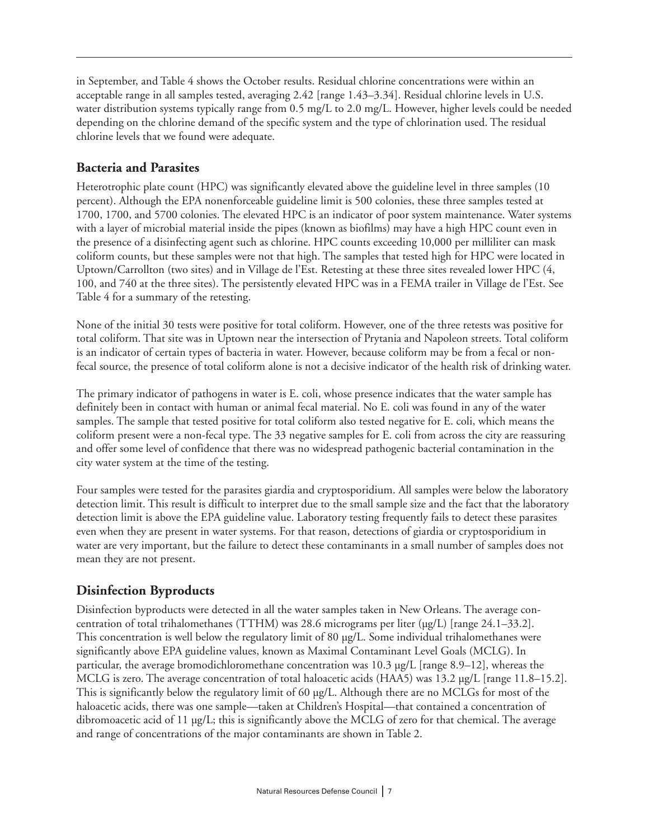in September, and Table 4 shows the October results. Residual chlorine concentrations were within an acceptable range in all samples tested, averaging 2.42 [range 1.43–3.34]. Residual chlorine levels in U.S. water distribution systems typically range from 0.5 mg/L to 2.0 mg/L. However, higher levels could be needed depending on the chlorine demand of the specific system and the type of chlorination used. The residual chlorine levels that we found were adequate.

### **Bacteria and Parasites**

Heterotrophic plate count (HPC) was significantly elevated above the guideline level in three samples (10 percent). Although the EPA nonenforceable guideline limit is 500 colonies, these three samples tested at 1700, 1700, and 5700 colonies. The elevated HPC is an indicator of poor system maintenance. Water systems with a layer of microbial material inside the pipes (known as biofilms) may have a high HPC count even in the presence of a disinfecting agent such as chlorine. HPC counts exceeding 10,000 per milliliter can mask coliform counts, but these samples were not that high. The samples that tested high for HPC were located in Uptown/Carrollton (two sites) and in Village de l'Est. Retesting at these three sites revealed lower HPC (4, 100, and 740 at the three sites). The persistently elevated HPC was in a FEMA trailer in Village de l'Est. See Table 4 for a summary of the retesting.

None of the initial 30 tests were positive for total coliform. However, one of the three retests was positive for total coliform. That site was in Uptown near the intersection of Prytania and Napoleon streets. Total coliform is an indicator of certain types of bacteria in water. However, because coliform may be from a fecal or nonfecal source, the presence of total coliform alone is not a decisive indicator of the health risk of drinking water.

The primary indicator of pathogens in water is E. coli, whose presence indicates that the water sample has definitely been in contact with human or animal fecal material. No E. coli was found in any of the water samples. The sample that tested positive for total coliform also tested negative for E. coli, which means the coliform present were a non-fecal type. The 33 negative samples for E. coli from across the city are reassuring and offer some level of confidence that there was no widespread pathogenic bacterial contamination in the city water system at the time of the testing.

Four samples were tested for the parasites giardia and cryptosporidium. All samples were below the laboratory detection limit. This result is difficult to interpret due to the small sample size and the fact that the laboratory detection limit is above the EPA guideline value. Laboratory testing frequently fails to detect these parasites even when they are present in water systems. For that reason, detections of giardia or cryptosporidium in water are very important, but the failure to detect these contaminants in a small number of samples does not mean they are not present.

## **Disinfection Byproducts**

Disinfection byproducts were detected in all the water samples taken in New Orleans. The average concentration of total trihalomethanes (TTHM) was 28.6 micrograms per liter (µg/L) [range 24.1–33.2]. This concentration is well below the regulatory limit of 80 µg/L. Some individual trihalomethanes were significantly above EPA guideline values, known as Maximal Contaminant Level Goals (MCLG). In particular, the average bromodichloromethane concentration was  $10.3 \mu g/L$  [range 8.9–12], whereas the MCLG is zero. The average concentration of total haloacetic acids (HAA5) was 13.2 µg/L [range 11.8–15.2]. This is significantly below the regulatory limit of 60 µg/L. Although there are no MCLGs for most of the haloacetic acids, there was one sample—taken at Children's Hospital—that contained a concentration of dibromoacetic acid of 11 µg/L; this is significantly above the MCLG of zero for that chemical. The average and range of concentrations of the major contaminants are shown in Table 2.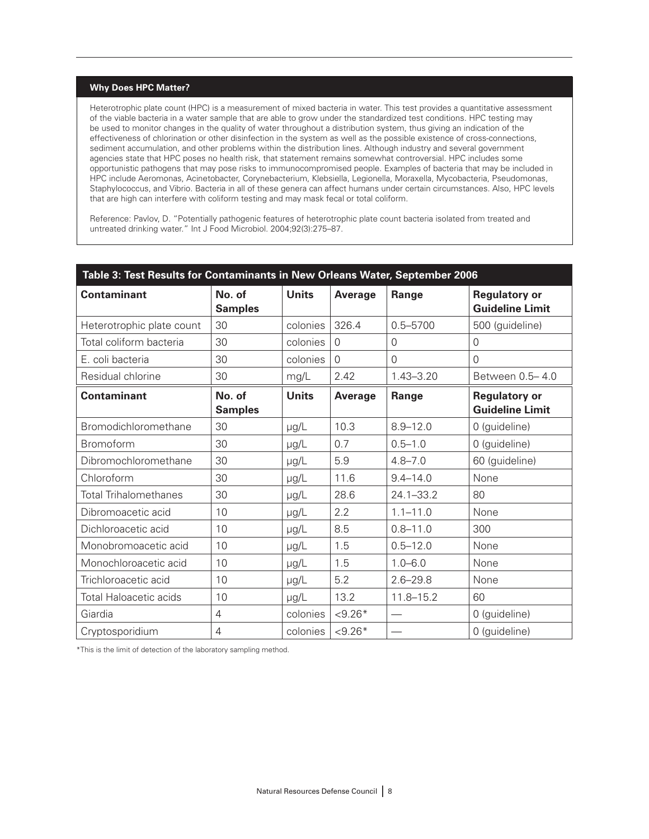#### **Why Does HPC Matter?**

Heterotrophic plate count (HPC) is a measurement of mixed bacteria in water. This test provides a quantitative assessment of the viable bacteria in a water sample that are able to grow under the standardized test conditions. HPC testing may be used to monitor changes in the quality of water throughout a distribution system, thus giving an indication of the effectiveness of chlorination or other disinfection in the system as well as the possible existence of cross-connections, sediment accumulation, and other problems within the distribution lines. Although industry and several government agencies state that HPC poses no health risk, that statement remains somewhat controversial. HPC includes some opportunistic pathogens that may pose risks to immunocompromised people. Examples of bacteria that may be included in HPC include Aeromonas, Acinetobacter, Corynebacterium, Klebsiella, Legionella, Moraxella, Mycobacteria, Pseudomonas, Staphylococcus, and Vibrio. Bacteria in all of these genera can affect humans under certain circumstances. Also, HPC levels that are high can interfere with coliform testing and may mask fecal or total coliform.

Reference: Pavlov, D. "Potentially pathogenic features of heterotrophic plate count bacteria isolated from treated and untreated drinking water." Int J Food Microbiol. 2004;92(3):275–87.

| Table 3: Test Results for Contaminants in New Orleans Water, September 2006 |                          |              |                |                          |                                                |
|-----------------------------------------------------------------------------|--------------------------|--------------|----------------|--------------------------|------------------------------------------------|
| <b>Contaminant</b>                                                          | No. of<br><b>Samples</b> | <b>Units</b> | <b>Average</b> | Range                    | <b>Regulatory or</b><br><b>Guideline Limit</b> |
| Heterotrophic plate count                                                   | 30                       | colonies     | 326.4          | $0.5 - 5700$             | 500 (guideline)                                |
| Total coliform bacteria                                                     | 30                       | colonies     | $\Omega$       | $\overline{0}$           | $\Omega$                                       |
| E. coli bacteria                                                            | 30                       | colonies     | $\mathbf{0}$   | $\overline{0}$           | $\overline{0}$                                 |
| Residual chlorine                                                           | 30                       | mg/L         | 2.42           | $1.43 - 3.20$            | Between 0.5-4.0                                |
| <b>Contaminant</b>                                                          | No. of<br><b>Samples</b> | <b>Units</b> | <b>Average</b> | Range                    | <b>Regulatory or</b><br><b>Guideline Limit</b> |
| Bromodichloromethane                                                        | 30                       | µg/L         | 10.3           | $8.9 - 12.0$             | 0 (guideline)                                  |
| Bromoform                                                                   | 30                       | µg/L         | 0.7            | $0.5 - 1.0$              | 0 (guideline)                                  |
| Dibromochloromethane                                                        | 30                       | µg/L         | 5.9            | $4.8 - 7.0$              | 60 (guideline)                                 |
| Chloroform                                                                  | 30                       | µg/L         | 11.6           | $9.4 - 14.0$             | None                                           |
| <b>Total Trihalomethanes</b>                                                | 30                       | µg/L         | 28.6           | $24.1 - 33.2$            | 80                                             |
| Dibromoacetic acid                                                          | 10                       | µg/L         | 2.2            | $1.1 - 11.0$             | None                                           |
| Dichloroacetic acid                                                         | 10                       | µg/L         | 8.5            | $0.8 - 11.0$             | 300                                            |
| Monobromoacetic acid                                                        | 10                       | µg/L         | 1.5            | $0.5 - 12.0$             | None                                           |
| Monochloroacetic acid                                                       | 10                       | µg/L         | 1.5            | $1.0 - 6.0$              | None                                           |
| Trichloroacetic acid                                                        | 10                       | µg/L         | 5.2            | $2.6 - 29.8$             | None                                           |
| <b>Total Haloacetic acids</b>                                               | 10                       | µg/L         | 13.2           | $11.8 - 15.2$            | 60                                             |
| Giardia                                                                     | $\overline{4}$           | colonies     | $< 9.26*$      | $\overline{\phantom{0}}$ | 0 (guideline)                                  |
| Cryptosporidium                                                             | 4                        | colonies     | $< 9.26*$      | $\qquad \qquad$          | 0 (guideline)                                  |

\*This is the limit of detection of the laboratory sampling method.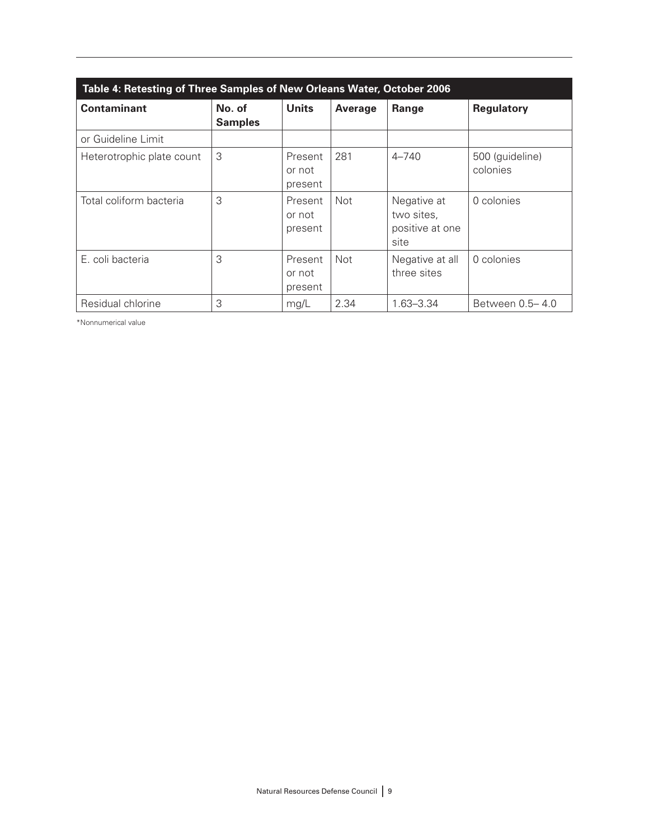| Table 4: Retesting of Three Samples of New Orleans Water, October 2006 |                          |                              |            |                                                      |                             |
|------------------------------------------------------------------------|--------------------------|------------------------------|------------|------------------------------------------------------|-----------------------------|
| <b>Contaminant</b>                                                     | No. of<br><b>Samples</b> | <b>Units</b>                 | Average    | Range                                                | <b>Regulatory</b>           |
| or Guideline Limit                                                     |                          |                              |            |                                                      |                             |
| Heterotrophic plate count                                              | 3                        | Present<br>or not<br>present | 281        | $4 - 740$                                            | 500 (guideline)<br>colonies |
| Total coliform bacteria                                                | 3                        | Present<br>or not<br>present | <b>Not</b> | Negative at<br>two sites,<br>positive at one<br>site | 0 colonies                  |
| E. coli bacteria                                                       | 3                        | Present<br>or not<br>present | <b>Not</b> | Negative at all<br>three sites                       | 0 colonies                  |
| Residual chlorine                                                      | 3                        | mg/L                         | 2.34       | $1.63 - 3.34$                                        | Between 0.5–4.0             |

\*Nonnumerical value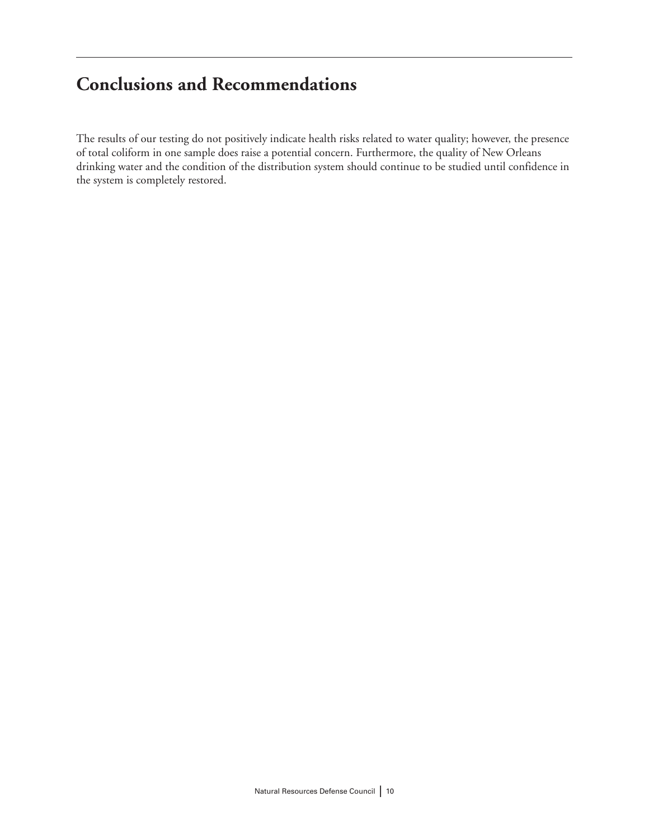# **Conclusions and Recommendations**

The results of our testing do not positively indicate health risks related to water quality; however, the presence of total coliform in one sample does raise a potential concern. Furthermore, the quality of New Orleans drinking water and the condition of the distribution system should continue to be studied until confidence in the system is completely restored.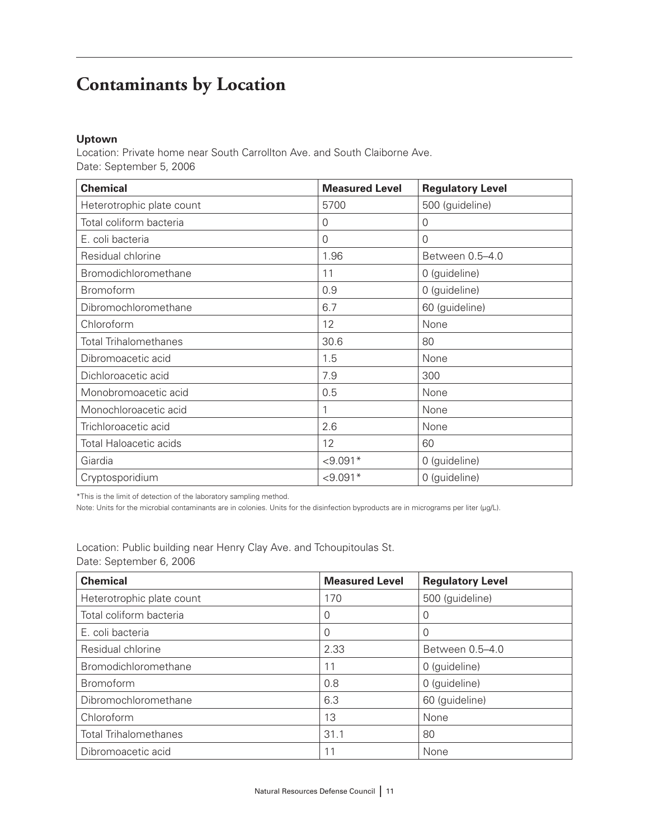# **Contaminants by Location**

#### **Uptown**

Location: Private home near South Carrollton Ave. and South Claiborne Ave. Date: September 5, 2006

| <b>Chemical</b>               | <b>Measured Level</b> | <b>Regulatory Level</b> |
|-------------------------------|-----------------------|-------------------------|
| Heterotrophic plate count     | 5700                  | 500 (guideline)         |
| Total coliform bacteria       | $\overline{0}$        | $\mathcal{O}$           |
| E. coli bacteria              | 0                     | $\Omega$                |
| Residual chlorine             | 1.96                  | Between 0.5-4.0         |
| Bromodichloromethane          | 11                    | 0 (guideline)           |
| <b>Bromoform</b>              | 0.9                   | 0 (guideline)           |
| Dibromochloromethane          | 6.7                   | 60 (guideline)          |
| Chloroform                    | 12                    | None                    |
| <b>Total Trihalomethanes</b>  | 30.6                  | 80                      |
| Dibromoacetic acid            | 1.5                   | None                    |
| Dichloroacetic acid           | 7.9                   | 300                     |
| Monobromoacetic acid          | 0.5                   | None                    |
| Monochloroacetic acid         |                       | None                    |
| Trichloroacetic acid          | 2.6                   | None                    |
| <b>Total Haloacetic acids</b> | 12                    | 60                      |
| Giardia                       | $< 9.091*$            | 0 (guideline)           |
| Cryptosporidium               | $< 9.091*$            | 0 (guideline)           |

\*This is the limit of detection of the laboratory sampling method.

Note: Units for the microbial contaminants are in colonies. Units for the disinfection byproducts are in micrograms per liter (µg/L).

Location: Public building near Henry Clay Ave. and Tchoupitoulas St. Date: September 6, 2006

| <b>Chemical</b>              | <b>Measured Level</b> | <b>Regulatory Level</b> |
|------------------------------|-----------------------|-------------------------|
| Heterotrophic plate count    | 170                   | 500 (guideline)         |
| Total coliform bacteria      | O                     |                         |
| E. coli bacteria             | 0                     |                         |
| Residual chlorine            | 2.33                  | Between 0.5-4.0         |
| Bromodichloromethane         | 11                    | 0 (guideline)           |
| <b>Bromoform</b>             | 0.8                   | 0 (guideline)           |
| Dibromochloromethane         | 6.3                   | 60 (guideline)          |
| Chloroform                   | 13                    | None                    |
| <b>Total Trihalomethanes</b> | 31.1                  | 80                      |
| Dibromoacetic acid           | 11                    | None                    |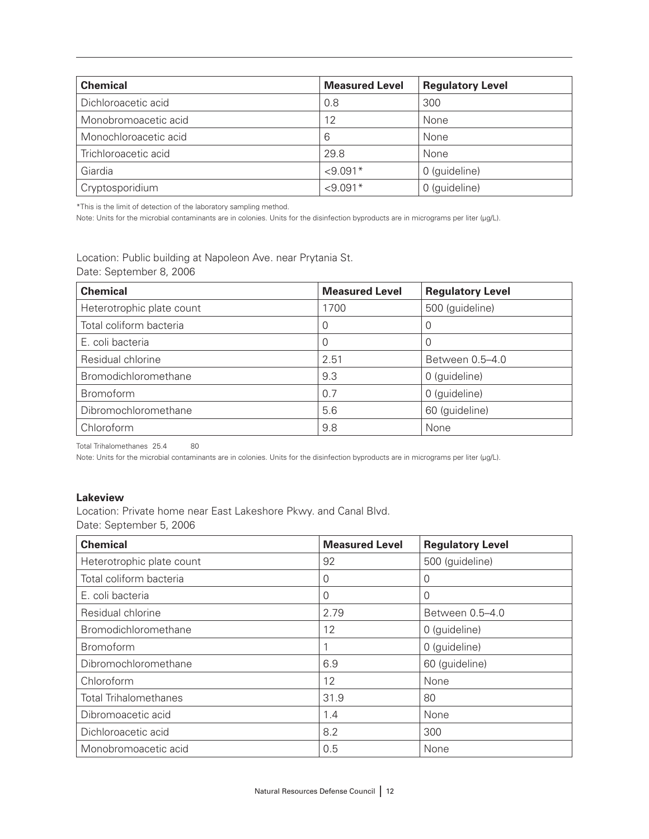| <b>Chemical</b>       | <b>Measured Level</b> | <b>Regulatory Level</b> |
|-----------------------|-----------------------|-------------------------|
| Dichloroacetic acid   | 0.8                   | 300                     |
| Monobromoacetic acid  | 12                    | None                    |
| Monochloroacetic acid | 6                     | None                    |
| Trichloroacetic acid  | 29.8                  | None                    |
| Giardia               | $< 9.091*$            | 0 (guideline)           |
| Cryptosporidium       | $< 9.091*$            | 0 (guideline)           |

\*This is the limit of detection of the laboratory sampling method.

Note: Units for the microbial contaminants are in colonies. Units for the disinfection byproducts are in micrograms per liter (µg/L).

Location: Public building at Napoleon Ave. near Prytania St. Date: September 8, 2006

| <b>Chemical</b>           | <b>Measured Level</b> | <b>Regulatory Level</b> |
|---------------------------|-----------------------|-------------------------|
| Heterotrophic plate count | 1700                  | 500 (guideline)         |
| Total coliform bacteria   | 0                     | O                       |
| E. coli bacteria          | O                     | O                       |
| Residual chlorine         | 2.51                  | Between 0.5-4.0         |
| Bromodichloromethane      | 9.3                   | 0 (guideline)           |
| <b>Bromoform</b>          | 0.7                   | 0 (guideline)           |
| Dibromochloromethane      | 5.6                   | 60 (guideline)          |
| Chloroform                | 9.8                   | None                    |

Total Trihalomethanes 25.4 80

Note: Units for the microbial contaminants are in colonies. Units for the disinfection byproducts are in micrograms per liter (µg/L).

#### **Lakeview**

Location: Private home near East Lakeshore Pkwy. and Canal Blvd. Date: September 5, 2006

| <b>Chemical</b>              | <b>Measured Level</b> | <b>Regulatory Level</b> |
|------------------------------|-----------------------|-------------------------|
| Heterotrophic plate count    | 92                    | 500 (guideline)         |
| Total coliform bacteria      | $\Omega$              | 0                       |
| E. coli bacteria             | 0                     | 0                       |
| Residual chlorine            | 2.79                  | Between 0.5-4.0         |
| Bromodichloromethane         | 12                    | 0 (guideline)           |
| <b>Bromoform</b>             |                       | 0 (guideline)           |
| Dibromochloromethane         | 6.9                   | 60 (guideline)          |
| Chloroform                   | 12                    | None                    |
| <b>Total Trihalomethanes</b> | 31.9                  | 80                      |
| Dibromoacetic acid           | 1.4                   | None                    |
| Dichloroacetic acid          | 8.2                   | 300                     |
| Monobromoacetic acid         | 0.5                   | None                    |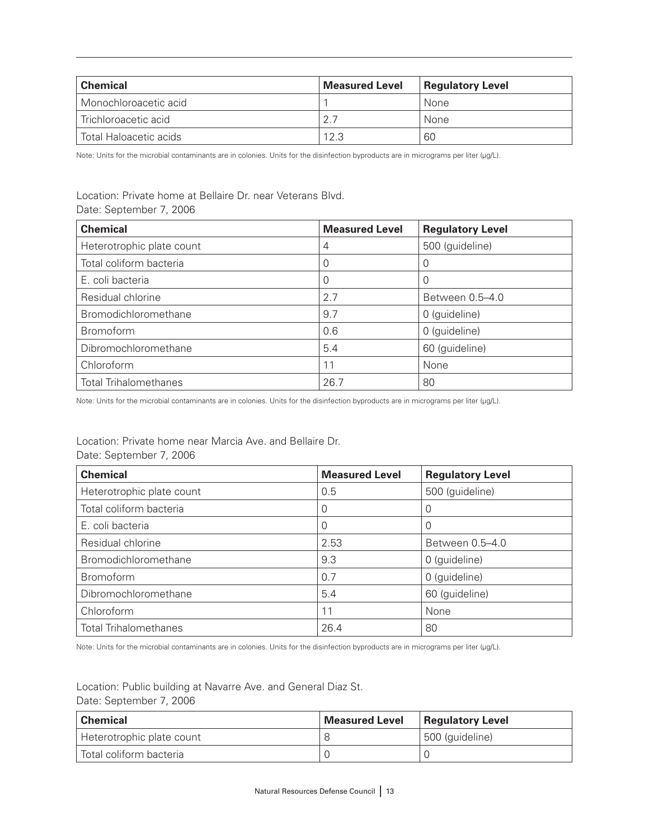| <b>Chemical</b>        | <b>Measured Level</b> | <b>Regulatory Level</b> |
|------------------------|-----------------------|-------------------------|
| Monochloroacetic acid  |                       | None                    |
| Trichloroacetic acid   | 2.7                   | None                    |
| Total Haloacetic acids | 12.3                  | 60                      |

#### Location: Private home at Bellaire Dr. near Veterans Blvd. Date: September 7, 2006

| <b>Chemical</b>              | <b>Measured Level</b> | <b>Regulatory Level</b> |
|------------------------------|-----------------------|-------------------------|
| Heterotrophic plate count    | 4                     | 500 (guideline)         |
| Total coliform bacteria      |                       |                         |
| E. coli bacteria             |                       |                         |
| Residual chlorine            | 2.7                   | Between 0.5-4.0         |
| Bromodichloromethane         | 9.7                   | 0 (guideline)           |
| <b>Bromoform</b>             | 0.6                   | 0 (guideline)           |
| Dibromochloromethane         | 5.4                   | 60 (guideline)          |
| Chloroform                   | 11                    | None                    |
| <b>Total Trihalomethanes</b> | 26.7                  | 80                      |

Note: Units for the microbial contaminants are in colonies. Units for the disinfection byproducts are in micrograms per liter (µg/L).

#### Location: Private home near Marcia Ave. and Bellaire Dr. Date: September 7, 2006

| <b>Chemical</b>              | <b>Measured Level</b> | <b>Regulatory Level</b> |
|------------------------------|-----------------------|-------------------------|
| Heterotrophic plate count    | 0.5                   | 500 (guideline)         |
| Total coliform bacteria      | $\Omega$              | 0                       |
| E. coli bacteria             | $\Omega$              | 0                       |
| Residual chlorine            | 2.53                  | Between 0.5-4.0         |
| Bromodichloromethane         | 9.3                   | 0 (guideline)           |
| <b>Bromoform</b>             | 0.7                   | 0 (guideline)           |
| Dibromochloromethane         | 5.4                   | 60 (guideline)          |
| Chloroform                   | 11                    | None                    |
| <b>Total Trihalomethanes</b> | 26.4                  | 80                      |

Note: Units for the microbial contaminants are in colonies. Units for the disinfection byproducts are in micrograms per liter (µg/L).

Location: Public building at Navarre Ave. and General Diaz St. Date: September 7, 2006

| <b>Chemical</b>           | ∣ Measured Level | <b>Regulatory Level</b> |
|---------------------------|------------------|-------------------------|
| Heterotrophic plate count |                  | 500 (guideline)         |
| Total coliform bacteria   |                  |                         |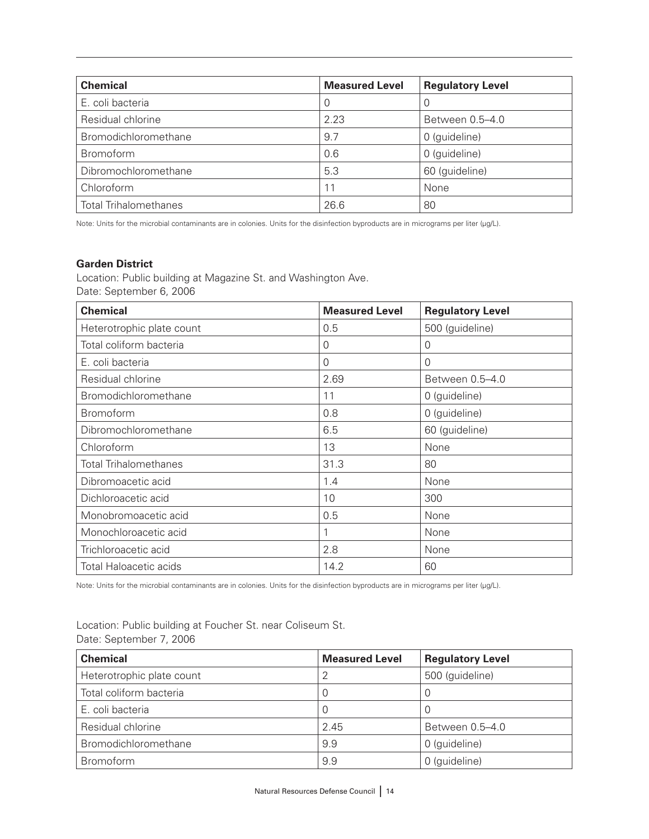| <b>Chemical</b>              | <b>Measured Level</b> | <b>Regulatory Level</b> |
|------------------------------|-----------------------|-------------------------|
| E. coli bacteria             | $\Omega$              |                         |
| Residual chlorine            | 2.23                  | Between 0.5–4.0         |
| Bromodichloromethane         | 9.7                   | 0 (guideline)           |
| Bromoform                    | 0.6                   | 0 (guideline)           |
| Dibromochloromethane         | 5.3                   | 60 (guideline)          |
| Chloroform                   | 11                    | None                    |
| <b>Total Trihalomethanes</b> | 26.6                  | 80                      |

#### **Garden District**

Location: Public building at Magazine St. and Washington Ave. Date: September 6, 2006

| <b>Chemical</b>               | <b>Measured Level</b> | <b>Regulatory Level</b> |
|-------------------------------|-----------------------|-------------------------|
| Heterotrophic plate count     | 0.5                   | 500 (guideline)         |
| Total coliform bacteria       | $\overline{0}$        | 0                       |
| E. coli bacteria              | $\Omega$              | $\Omega$                |
| Residual chlorine             | 2.69                  | Between 0.5-4.0         |
| Bromodichloromethane          | 11                    | 0 (guideline)           |
| <b>Bromoform</b>              | 0.8                   | 0 (guideline)           |
| Dibromochloromethane          | 6.5                   | 60 (guideline)          |
| Chloroform                    | 13                    | None                    |
| <b>Total Trihalomethanes</b>  | 31.3                  | 80                      |
| Dibromoacetic acid            | 1.4                   | None                    |
| Dichloroacetic acid           | 10                    | 300                     |
| Monobromoacetic acid          | 0.5                   | None                    |
| Monochloroacetic acid         |                       | None                    |
| Trichloroacetic acid          | 2.8                   | None                    |
| <b>Total Haloacetic acids</b> | 14.2                  | 60                      |

Note: Units for the microbial contaminants are in colonies. Units for the disinfection byproducts are in micrograms per liter (µg/L).

Location: Public building at Foucher St. near Coliseum St. Date: September 7, 2006

| <b>Chemical</b>           | <b>Measured Level</b> | <b>Regulatory Level</b> |
|---------------------------|-----------------------|-------------------------|
| Heterotrophic plate count | 2                     | 500 (guideline)         |
| Total coliform bacteria   | $\Omega$              | 0                       |
| E. coli bacteria          | 0                     | 0                       |
| Residual chlorine         | 2.45                  | Between 0.5-4.0         |
| Bromodichloromethane      | 9.9                   | 0 (guideline)           |
| <b>Bromoform</b>          | 9.9                   | 0 (guideline)           |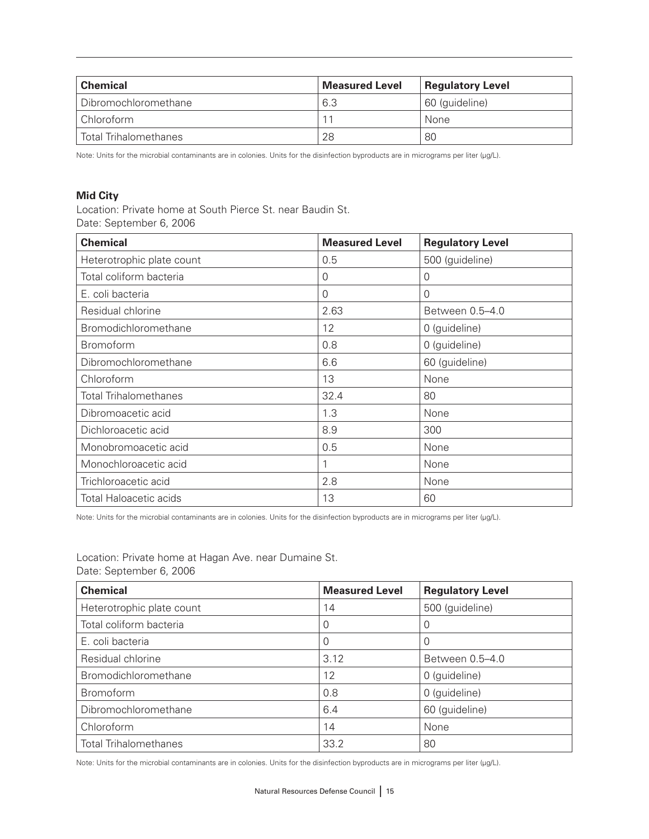| <b>Chemical</b>              | <b>Measured Level</b> | <b>Regulatory Level</b> |
|------------------------------|-----------------------|-------------------------|
| Dibromochloromethane         | 6.3                   | 60 (guideline)          |
| Chloroform                   |                       | None                    |
| <b>Total Trihalomethanes</b> | 28                    | 80                      |

#### **Mid City**

Location: Private home at South Pierce St. near Baudin St. Date: September 6, 2006

| <b>Chemical</b>               | <b>Measured Level</b> | <b>Regulatory Level</b> |
|-------------------------------|-----------------------|-------------------------|
| Heterotrophic plate count     | 0.5                   | 500 (guideline)         |
| Total coliform bacteria       | 0                     | 0                       |
| E. coli bacteria              | $\Omega$              | $\Omega$                |
| Residual chlorine             | 2.63                  | Between 0.5-4.0         |
| Bromodichloromethane          | 12                    | 0 (guideline)           |
| <b>Bromoform</b>              | 0.8                   | 0 (guideline)           |
| Dibromochloromethane          | 6.6                   | 60 (guideline)          |
| Chloroform                    | 13                    | None                    |
| <b>Total Trihalomethanes</b>  | 32.4                  | 80                      |
| Dibromoacetic acid            | 1.3                   | None                    |
| Dichloroacetic acid           | 8.9                   | 300                     |
| Monobromoacetic acid          | 0.5                   | None                    |
| Monochloroacetic acid         |                       | None                    |
| Trichloroacetic acid          | 2.8                   | None                    |
| <b>Total Haloacetic acids</b> | 13                    | 60                      |

Note: Units for the microbial contaminants are in colonies. Units for the disinfection byproducts are in micrograms per liter (µg/L).

Location: Private home at Hagan Ave. near Dumaine St. Date: September 6, 2006

| <b>Chemical</b>              | <b>Measured Level</b> | <b>Regulatory Level</b> |
|------------------------------|-----------------------|-------------------------|
| Heterotrophic plate count    | 14                    | 500 (guideline)         |
| Total coliform bacteria      |                       | 0                       |
| E. coli bacteria             | O                     |                         |
| Residual chlorine            | 3.12                  | Between 0.5-4.0         |
| Bromodichloromethane         | 12                    | 0 (guideline)           |
| Bromoform                    | 0.8                   | 0 (guideline)           |
| Dibromochloromethane         | 6.4                   | 60 (guideline)          |
| Chloroform                   | 14                    | None                    |
| <b>Total Trihalomethanes</b> | 33.2                  | 80                      |

Note: Units for the microbial contaminants are in colonies. Units for the disinfection byproducts are in micrograms per liter (µg/L).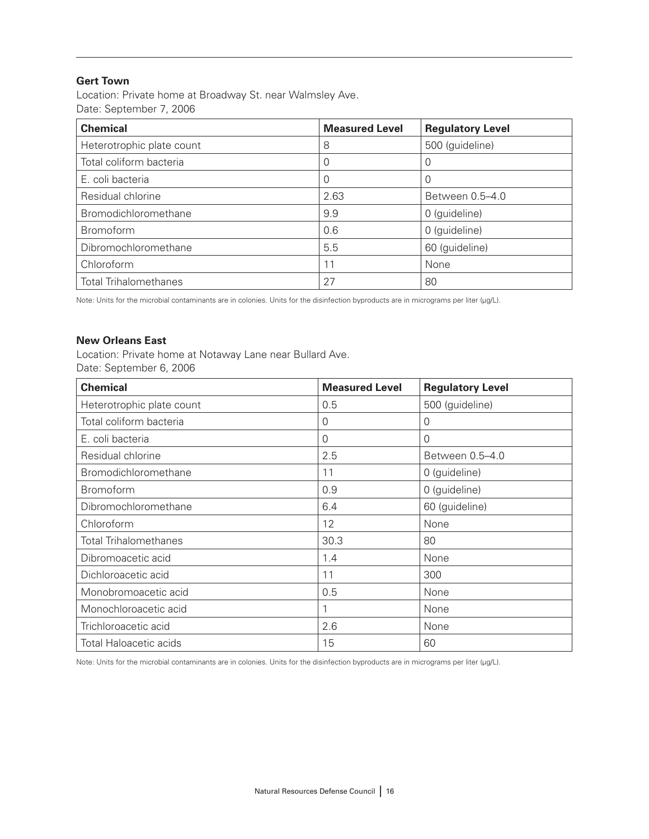#### **Gert Town**

Location: Private home at Broadway St. near Walmsley Ave. Date: September 7, 2006

| <b>Chemical</b>              | <b>Measured Level</b> | <b>Regulatory Level</b> |
|------------------------------|-----------------------|-------------------------|
| Heterotrophic plate count    | 8                     | 500 (guideline)         |
| Total coliform bacteria      |                       | 0                       |
| E. coli bacteria             |                       | O                       |
| Residual chlorine            | 2.63                  | Between 0.5–4.0         |
| Bromodichloromethane         | 9.9                   | 0 (guideline)           |
| Bromoform                    | 0.6                   | 0 (guideline)           |
| Dibromochloromethane         | 5.5                   | 60 (guideline)          |
| Chloroform                   | 11                    | None                    |
| <b>Total Trihalomethanes</b> | 27                    | 80                      |

Note: Units for the microbial contaminants are in colonies. Units for the disinfection byproducts are in micrograms per liter (µg/L).

#### **New Orleans East**

Location: Private home at Notaway Lane near Bullard Ave. Date: September 6, 2006

| <b>Chemical</b>               | <b>Measured Level</b> | <b>Regulatory Level</b> |
|-------------------------------|-----------------------|-------------------------|
| Heterotrophic plate count     | 0.5                   | 500 (guideline)         |
| Total coliform bacteria       | 0                     | 0                       |
| E. coli bacteria              | $\Omega$              | $\Omega$                |
| Residual chlorine             | 2.5                   | Between 0.5-4.0         |
| Bromodichloromethane          | 11                    | 0 (guideline)           |
| <b>Bromoform</b>              | 0.9                   | 0 (guideline)           |
| Dibromochloromethane          | 6.4                   | 60 (guideline)          |
| Chloroform                    | 12                    | None                    |
| <b>Total Trihalomethanes</b>  | 30.3                  | 80                      |
| Dibromoacetic acid            | 1.4                   | None                    |
| Dichloroacetic acid           | 11                    | 300                     |
| Monobromoacetic acid          | 0.5                   | None                    |
| Monochloroacetic acid         |                       | None                    |
| Trichloroacetic acid          | 2.6                   | None                    |
| <b>Total Haloacetic acids</b> | 15                    | 60                      |

Note: Units for the microbial contaminants are in colonies. Units for the disinfection byproducts are in micrograms per liter (µg/L).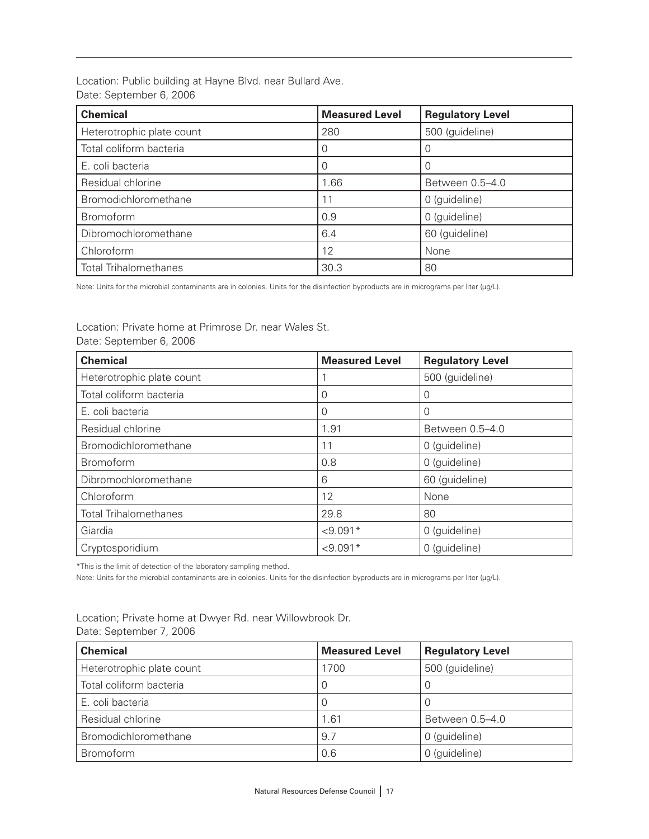Location: Public building at Hayne Blvd. near Bullard Ave. Date: September 6, 2006

| <b>Chemical</b>              | <b>Measured Level</b> | <b>Regulatory Level</b> |
|------------------------------|-----------------------|-------------------------|
| Heterotrophic plate count    | 280                   | 500 (guideline)         |
| Total coliform bacteria      |                       |                         |
| E. coli bacteria             |                       |                         |
| Residual chlorine            | 1.66                  | Between 0.5-4.0         |
| Bromodichloromethane         | 11                    | 0 (guideline)           |
| <b>Bromoform</b>             | 0.9                   | 0 (guideline)           |
| Dibromochloromethane         | 6.4                   | 60 (guideline)          |
| Chloroform                   | 12                    | None                    |
| <b>Total Trihalomethanes</b> | 30.3                  | 80                      |

Note: Units for the microbial contaminants are in colonies. Units for the disinfection byproducts are in micrograms per liter (µg/L).

Location: Private home at Primrose Dr. near Wales St. Date: September 6, 2006

| <b>Chemical</b>              | <b>Measured Level</b> | <b>Regulatory Level</b> |
|------------------------------|-----------------------|-------------------------|
| Heterotrophic plate count    |                       | 500 (guideline)         |
| Total coliform bacteria      | 0                     | 0                       |
| E. coli bacteria             | 0                     | 0                       |
| Residual chlorine            | 1.91                  | Between 0.5-4.0         |
| Bromodichloromethane         | 11                    | 0 (guideline)           |
| <b>Bromoform</b>             | 0.8                   | 0 (guideline)           |
| Dibromochloromethane         | 6                     | 60 (guideline)          |
| Chloroform                   | 12                    | None                    |
| <b>Total Trihalomethanes</b> | 29.8                  | 80                      |
| Giardia                      | $< 9.091*$            | 0 (guideline)           |
| Cryptosporidium              | $< 9.091*$            | 0 (guideline)           |

\*This is the limit of detection of the laboratory sampling method.

Note: Units for the microbial contaminants are in colonies. Units for the disinfection byproducts are in micrograms per liter (µg/L).

Location; Private home at Dwyer Rd. near Willowbrook Dr. Date: September 7, 2006

| <b>Chemical</b>           | <b>Measured Level</b> | <b>Regulatory Level</b> |
|---------------------------|-----------------------|-------------------------|
| Heterotrophic plate count | 1700                  | 500 (guideline)         |
| Total coliform bacteria   | 0                     | 0                       |
| E. coli bacteria          | 0                     | 0                       |
| Residual chlorine         | 1.61                  | Between 0.5-4.0         |
| Bromodichloromethane      | 9.7                   | 0 (guideline)           |
| <b>Bromoform</b>          | 0.6                   | 0 (guideline)           |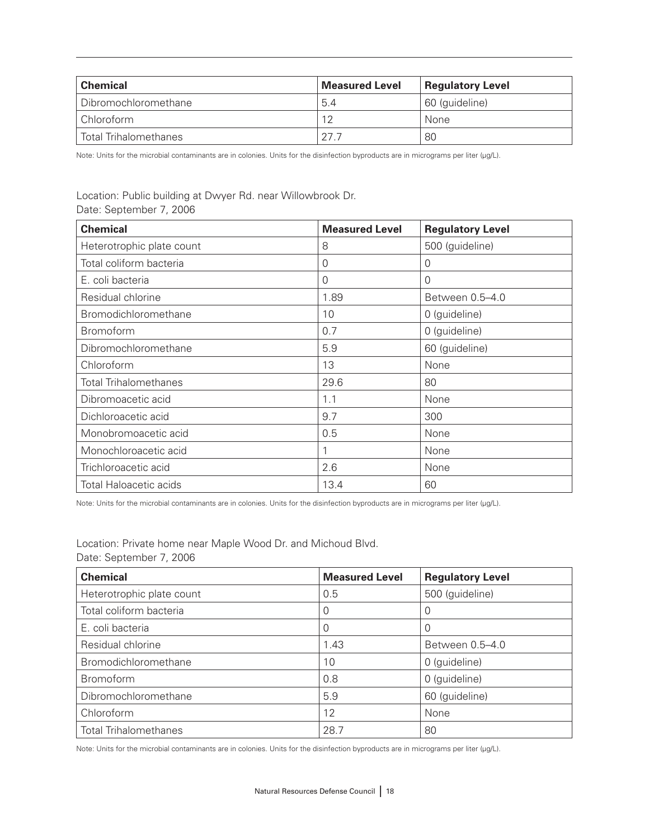| <b>Chemical</b>              | <b>Measured Level</b> | <b>Regulatory Level</b> |
|------------------------------|-----------------------|-------------------------|
| Dibromochloromethane         | 5.4                   | 60 (guideline)          |
| Chloroform                   | 12                    | None                    |
| <b>Total Trihalomethanes</b> | - 27                  | 80                      |

#### Location: Public building at Dwyer Rd. near Willowbrook Dr. Date: September 7, 2006

| <b>Chemical</b>               | <b>Measured Level</b> | <b>Regulatory Level</b> |
|-------------------------------|-----------------------|-------------------------|
| Heterotrophic plate count     | 8                     | 500 (guideline)         |
| Total coliform bacteria       | $\Omega$              | 0                       |
| E. coli bacteria              | $\Omega$              | $\Omega$                |
| Residual chlorine             | 1.89                  | Between 0.5-4.0         |
| Bromodichloromethane          | 10                    | 0 (guideline)           |
| <b>Bromoform</b>              | 0.7                   | 0 (guideline)           |
| Dibromochloromethane          | 5.9                   | 60 (guideline)          |
| Chloroform                    | 13                    | None                    |
| <b>Total Trihalomethanes</b>  | 29.6                  | 80                      |
| Dibromoacetic acid            | 1.1                   | None                    |
| Dichloroacetic acid           | 9.7                   | 300                     |
| Monobromoacetic acid          | 0.5                   | None                    |
| Monochloroacetic acid         |                       | None                    |
| Trichloroacetic acid          | 2.6                   | None                    |
| <b>Total Haloacetic acids</b> | 13.4                  | 60                      |

Note: Units for the microbial contaminants are in colonies. Units for the disinfection byproducts are in micrograms per liter (µg/L).

| Location: Private home near Maple Wood Dr. and Michoud Blvd. |  |  |  |
|--------------------------------------------------------------|--|--|--|
| Date: September 7, 2006                                      |  |  |  |

| <b>Chemical</b>              | <b>Measured Level</b> | <b>Regulatory Level</b> |
|------------------------------|-----------------------|-------------------------|
| Heterotrophic plate count    | 0.5                   | 500 (guideline)         |
| Total coliform bacteria      |                       | 0                       |
| E. coli bacteria             |                       | 0                       |
| Residual chlorine            | 1.43                  | Between 0.5-4.0         |
| Bromodichloromethane         | 10                    | 0 (guideline)           |
| <b>Bromoform</b>             | 0.8                   | 0 (guideline)           |
| Dibromochloromethane         | 5.9                   | 60 (guideline)          |
| Chloroform                   | 12                    | None                    |
| <b>Total Trihalomethanes</b> | 28.7                  | 80                      |

Note: Units for the microbial contaminants are in colonies. Units for the disinfection byproducts are in micrograms per liter (µg/L).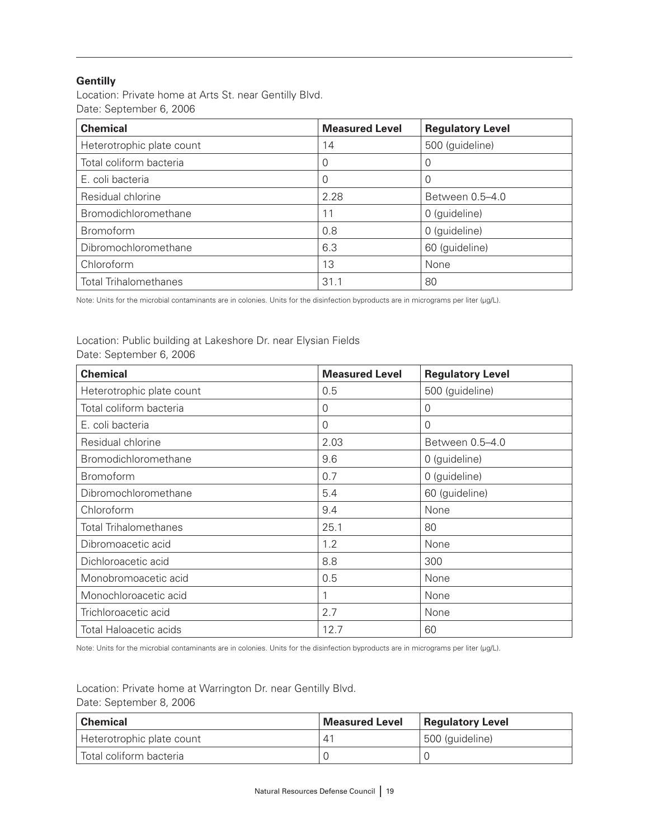#### **Gentilly**

Location: Private home at Arts St. near Gentilly Blvd. Date: September 6, 2006

| <b>Chemical</b>              | <b>Measured Level</b> | <b>Regulatory Level</b> |
|------------------------------|-----------------------|-------------------------|
| Heterotrophic plate count    | 14                    | 500 (guideline)         |
| Total coliform bacteria      | 0                     | 0                       |
| E. coli bacteria             | O                     | 0                       |
| Residual chlorine            | 2.28                  | Between 0.5-4.0         |
| Bromodichloromethane         | 11                    | 0 (guideline)           |
| <b>Bromoform</b>             | 0.8                   | 0 (guideline)           |
| Dibromochloromethane         | 6.3                   | 60 (guideline)          |
| Chloroform                   | 13                    | None                    |
| <b>Total Trihalomethanes</b> | 31.1                  | 80                      |

Note: Units for the microbial contaminants are in colonies. Units for the disinfection byproducts are in micrograms per liter (µg/L).

#### Location: Public building at Lakeshore Dr. near Elysian Fields Date: September 6, 2006

| <b>Chemical</b>               | <b>Measured Level</b> | <b>Regulatory Level</b> |
|-------------------------------|-----------------------|-------------------------|
| Heterotrophic plate count     | 0.5                   | 500 (guideline)         |
| Total coliform bacteria       | $\Omega$              | 0                       |
| E. coli bacteria              | $\Omega$              | $\Omega$                |
| Residual chlorine             | 2.03                  | Between 0.5-4.0         |
| Bromodichloromethane          | 9.6                   | 0 (guideline)           |
| <b>Bromoform</b>              | 0.7                   | 0 (guideline)           |
| Dibromochloromethane          | 5.4                   | 60 (guideline)          |
| Chloroform                    | 9.4                   | None                    |
| <b>Total Trihalomethanes</b>  | 25.1                  | 80                      |
| Dibromoacetic acid            | 1.2                   | None                    |
| Dichloroacetic acid           | 8.8                   | 300                     |
| Monobromoacetic acid          | 0.5                   | None                    |
| Monochloroacetic acid         |                       | None                    |
| Trichloroacetic acid          | 2.7                   | None                    |
| <b>Total Haloacetic acids</b> | 12.7                  | 60                      |

Note: Units for the microbial contaminants are in colonies. Units for the disinfection byproducts are in micrograms per liter (µg/L).

Location: Private home at Warrington Dr. near Gentilly Blvd. Date: September 8, 2006

| <b>Chemical</b>           | <b>Measured Level</b> | <b>Regulatory Level</b> |
|---------------------------|-----------------------|-------------------------|
| Heterotrophic plate count | $4^1$                 | 500 (guideline)         |
| Total coliform bacteria   |                       |                         |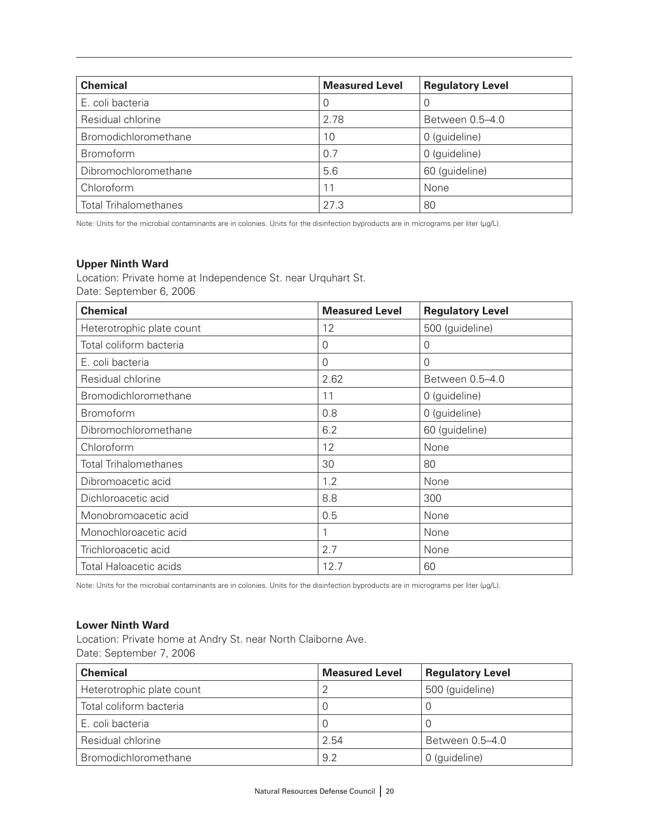| <b>Chemical</b>              | <b>Measured Level</b> | <b>Regulatory Level</b> |
|------------------------------|-----------------------|-------------------------|
| E. coli bacteria             | O                     | 0                       |
| Residual chlorine            | 2.78                  | Between 0.5–4.0         |
| Bromodichloromethane         | 10                    | 0 (guideline)           |
| <b>Bromoform</b>             | 0.7                   | 0 (guideline)           |
| Dibromochloromethane         | 5.6                   | 60 (guideline)          |
| Chloroform                   | 11                    | None                    |
| <b>Total Trihalomethanes</b> | 27.3                  | 80                      |

#### **Upper Ninth Ward**

Location: Private home at Independence St. near Urquhart St. Date: September 6, 2006

| <b>Chemical</b>              | <b>Measured Level</b> | <b>Regulatory Level</b> |
|------------------------------|-----------------------|-------------------------|
| Heterotrophic plate count    | 12                    | 500 (guideline)         |
| Total coliform bacteria      | $\Omega$              | 0                       |
| E. coli bacteria             | $\Omega$              | $\Omega$                |
| Residual chlorine            | 2.62                  | Between 0.5-4.0         |
| Bromodichloromethane         | 11                    | 0 (guideline)           |
| <b>Bromoform</b>             | 0.8                   | 0 (guideline)           |
| Dibromochloromethane         | 6.2                   | 60 (guideline)          |
| Chloroform                   | 12                    | None                    |
| <b>Total Trihalomethanes</b> | 30                    | 80                      |
| Dibromoacetic acid           | 1.2                   | None                    |
| Dichloroacetic acid          | 8.8                   | 300                     |
| Monobromoacetic acid         | 0.5                   | None                    |
| Monochloroacetic acid        |                       | None                    |
| Trichloroacetic acid         | 2.7                   | None                    |
| Total Haloacetic acids       | 12.7                  | 60                      |

Note: Units for the microbial contaminants are in colonies. Units for the disinfection byproducts are in micrograms per liter (µg/L).

#### **Lower Ninth Ward**

Location: Private home at Andry St. near North Claiborne Ave. Date: September 7, 2006

| <b>Chemical</b>             | <b>Measured Level</b> | <b>Regulatory Level</b> |
|-----------------------------|-----------------------|-------------------------|
| Heterotrophic plate count   |                       | 500 (guideline)         |
| Total coliform bacteria     |                       |                         |
| E. coli bacteria            | O                     | C                       |
| Residual chlorine           | 2.54                  | Between 0.5–4.0         |
| <b>Bromodichloromethane</b> | 9.2                   | 0 (guideline)           |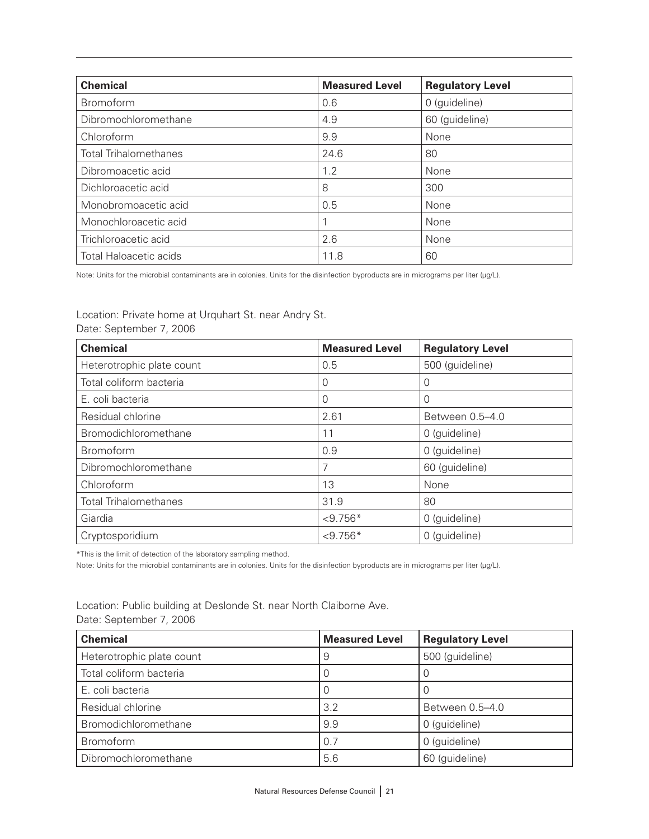| <b>Chemical</b>              | <b>Measured Level</b> | <b>Regulatory Level</b> |
|------------------------------|-----------------------|-------------------------|
| <b>Bromoform</b>             | 0.6                   | 0 (guideline)           |
| Dibromochloromethane         | 4.9                   | 60 (guideline)          |
| Chloroform                   | 9.9                   | None                    |
| <b>Total Trihalomethanes</b> | 24.6                  | 80                      |
| Dibromoacetic acid           | 1.2                   | None                    |
| Dichloroacetic acid          | 8                     | 300                     |
| Monobromoacetic acid         | 0.5                   | None                    |
| Monochloroacetic acid        |                       | None                    |
| Trichloroacetic acid         | 2.6                   | None                    |
| Total Haloacetic acids       | 11.8                  | 60                      |

Location: Private home at Urquhart St. near Andry St. Date: September 7, 2006

| <b>Chemical</b>              | <b>Measured Level</b> | <b>Regulatory Level</b> |
|------------------------------|-----------------------|-------------------------|
| Heterotrophic plate count    | 0.5                   | 500 (guideline)         |
| Total coliform bacteria      | 0                     | 0                       |
| E. coli bacteria             | 0                     | 0                       |
| Residual chlorine            | 2.61                  | Between 0.5-4.0         |
| Bromodichloromethane         | 11                    | 0 (guideline)           |
| Bromoform                    | 0.9                   | 0 (guideline)           |
| Dibromochloromethane         | 7                     | 60 (guideline)          |
| Chloroform                   | 13                    | None                    |
| <b>Total Trihalomethanes</b> | 31.9                  | 80                      |
| Giardia                      | $< 9.756*$            | 0 (guideline)           |
| Cryptosporidium              | $< 9.756*$            | 0 (guideline)           |

\*This is the limit of detection of the laboratory sampling method.

Note: Units for the microbial contaminants are in colonies. Units for the disinfection byproducts are in micrograms per liter (µg/L).

Location: Public building at Deslonde St. near North Claiborne Ave. Date: September 7, 2006

| <b>Chemical</b>           | <b>Measured Level</b> | <b>Regulatory Level</b> |
|---------------------------|-----------------------|-------------------------|
| Heterotrophic plate count | 9                     | 500 (guideline)         |
| Total coliform bacteria   |                       |                         |
| E. coli bacteria          |                       |                         |
| Residual chlorine         | 3.2                   | Between 0.5-4.0         |
| Bromodichloromethane      | 9.9                   | 0 (guideline)           |
| Bromoform                 | 0.7                   | 0 (guideline)           |
| Dibromochloromethane      | 5.6                   | 60 (guideline)          |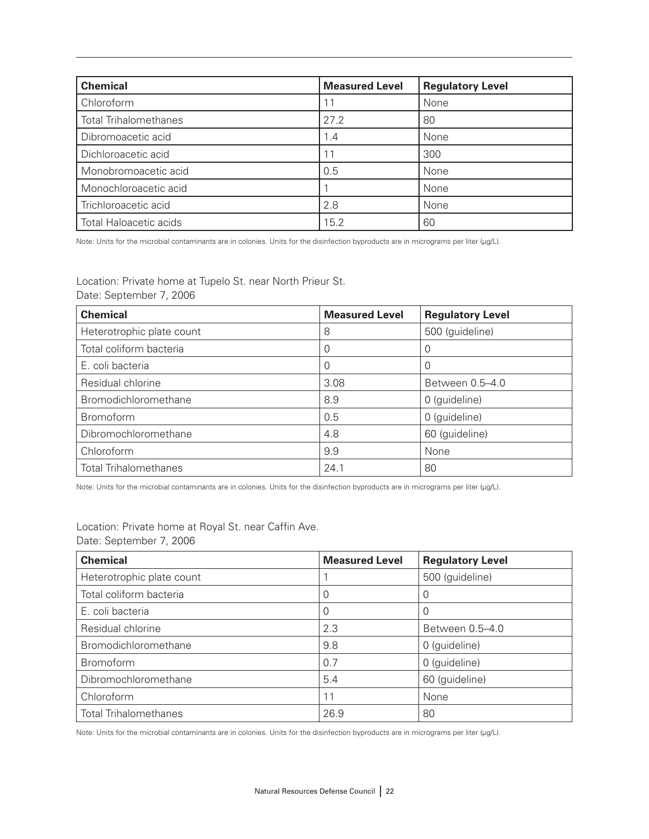| <b>Chemical</b>               | <b>Measured Level</b> | <b>Regulatory Level</b> |
|-------------------------------|-----------------------|-------------------------|
| Chloroform                    | 11                    | None                    |
| <b>Total Trihalomethanes</b>  | 27.2                  | 80                      |
| Dibromoacetic acid            | 1.4                   | None                    |
| Dichloroacetic acid           | 11                    | 300                     |
| Monobromoacetic acid          | 0.5                   | None                    |
| Monochloroacetic acid         |                       | None                    |
| Trichloroacetic acid          | 2.8                   | None                    |
| <b>Total Haloacetic acids</b> | 15.2                  | 60                      |

Location: Private home at Tupelo St. near North Prieur St. Date: September 7, 2006

| <b>Chemical</b>              | <b>Measured Level</b> | <b>Regulatory Level</b> |
|------------------------------|-----------------------|-------------------------|
| Heterotrophic plate count    | 8                     | 500 (guideline)         |
| Total coliform bacteria      | 0                     | 0                       |
| E. coli bacteria             | O                     | 0                       |
| Residual chlorine            | 3.08                  | Between 0.5-4.0         |
| Bromodichloromethane         | 8.9                   | 0 (guideline)           |
| Bromoform                    | 0.5                   | 0 (guideline)           |
| Dibromochloromethane         | 4.8                   | 60 (guideline)          |
| Chloroform                   | 9.9                   | None                    |
| <b>Total Trihalomethanes</b> | 24.1                  | 80                      |

Note: Units for the microbial contaminants are in colonies. Units for the disinfection byproducts are in micrograms per liter (µg/L).

| <b>Chemical</b>              | <b>Measured Level</b> | <b>Regulatory Level</b> |
|------------------------------|-----------------------|-------------------------|
| Heterotrophic plate count    |                       | 500 (guideline)         |
| Total coliform bacteria      |                       | 0                       |
| E. coli bacteria             | 0                     | 0                       |
| Residual chlorine            | 2.3                   | Between 0.5-4.0         |
| Bromodichloromethane         | 9.8                   | 0 (guideline)           |
| Bromoform                    | 0.7                   | 0 (guideline)           |
| Dibromochloromethane         | 5.4                   | 60 (guideline)          |
| Chloroform                   | 11                    | None                    |
| <b>Total Trihalomethanes</b> | 26.9                  | 80                      |

Location: Private home at Royal St. near Caffin Ave. Date: September 7, 2006

Note: Units for the microbial contaminants are in colonies. Units for the disinfection byproducts are in micrograms per liter (µg/L).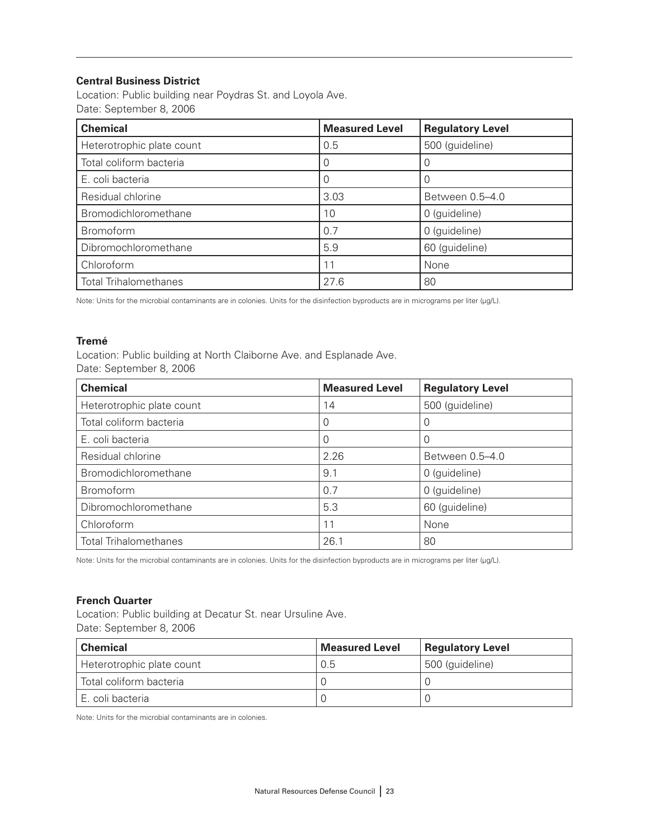#### **Central Business District**

Location: Public building near Poydras St. and Loyola Ave. Date: September 8, 2006

| <b>Chemical</b>              | <b>Measured Level</b> | <b>Regulatory Level</b> |
|------------------------------|-----------------------|-------------------------|
| Heterotrophic plate count    | 0.5                   | 500 (guideline)         |
| Total coliform bacteria      |                       |                         |
| E. coli bacteria             |                       |                         |
| Residual chlorine            | 3.03                  | Between 0.5-4.0         |
| Bromodichloromethane         | 10                    | 0 (guideline)           |
| Bromoform                    | 0.7                   | 0 (guideline)           |
| Dibromochloromethane         | 5.9                   | 60 (guideline)          |
| Chloroform                   | 11                    | None                    |
| <b>Total Trihalomethanes</b> | 27.6                  | 80                      |

Note: Units for the microbial contaminants are in colonies. Units for the disinfection byproducts are in micrograms per liter (µg/L).

#### **Tremé**

Location: Public building at North Claiborne Ave. and Esplanade Ave. Date: September 8, 2006

| <b>Chemical</b>              | <b>Measured Level</b> | <b>Regulatory Level</b> |
|------------------------------|-----------------------|-------------------------|
| Heterotrophic plate count    | 14                    | 500 (guideline)         |
| Total coliform bacteria      |                       | 0                       |
| E. coli bacteria             |                       | 0                       |
| Residual chlorine            | 2.26                  | Between 0.5-4.0         |
| Bromodichloromethane         | 9.1                   | 0 (guideline)           |
| <b>Bromoform</b>             | 0.7                   | 0 (guideline)           |
| Dibromochloromethane         | 5.3                   | 60 (guideline)          |
| Chloroform                   | 11                    | None                    |
| <b>Total Trihalomethanes</b> | 26.1                  | 80                      |

Note: Units for the microbial contaminants are in colonies. Units for the disinfection byproducts are in micrograms per liter (µg/L).

#### **French Quarter**

Location: Public building at Decatur St. near Ursuline Ave. Date: September 8, 2006

| <b>Chemical</b>           | <b>Measured Level</b> | <b>Regulatory Level</b> |
|---------------------------|-----------------------|-------------------------|
| Heterotrophic plate count | 0.5                   | 500 (guideline)         |
| Total coliform bacteria   |                       |                         |
| E. coli bacteria          |                       |                         |

Note: Units for the microbial contaminants are in colonies.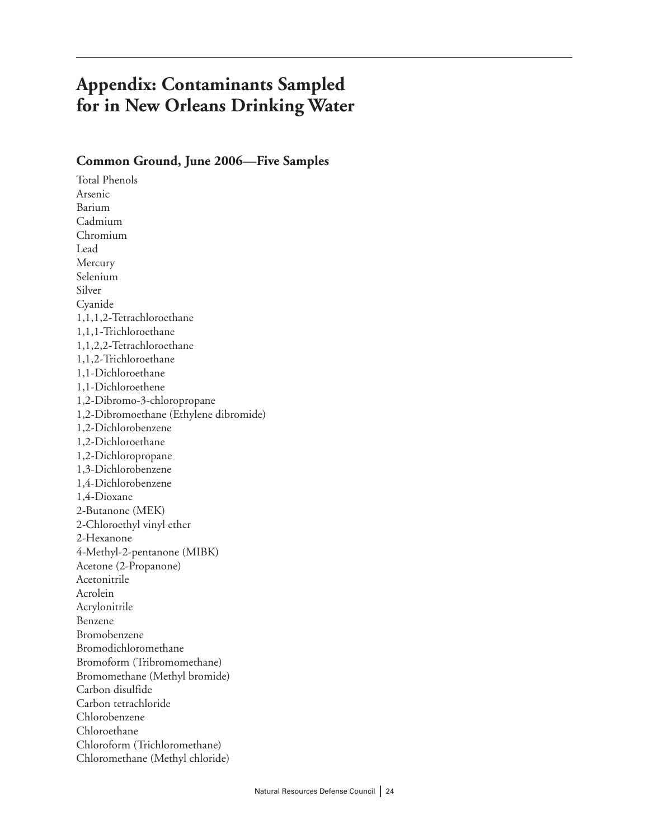# **Appendix: Contaminants Sampled for in New Orleans Drinking Water**

#### **Common Ground, June 2006—Five Samples**

Total Phenols Arsenic Barium Cadmium Chromium Lead Mercury Selenium Silver Cyanide 1,1,1,2-Tetrachloroethane 1,1,1-Trichloroethane 1,1,2,2-Tetrachloroethane 1,1,2-Trichloroethane 1,1-Dichloroethane 1,1-Dichloroethene 1,2-Dibromo-3-chloropropane 1,2-Dibromoethane (Ethylene dibromide) 1,2-Dichlorobenzene 1,2-Dichloroethane 1,2-Dichloropropane 1,3-Dichlorobenzene 1,4-Dichlorobenzene 1,4-Dioxane 2-Butanone (MEK) 2-Chloroethyl vinyl ether 2-Hexanone 4-Methyl-2-pentanone (MIBK) Acetone (2-Propanone) Acetonitrile Acrolein Acrylonitrile Benzene Bromobenzene Bromodichloromethane Bromoform (Tribromomethane) Bromomethane (Methyl bromide) Carbon disulfide Carbon tetrachloride Chlorobenzene Chloroethane Chloroform (Trichloromethane) Chloromethane (Methyl chloride)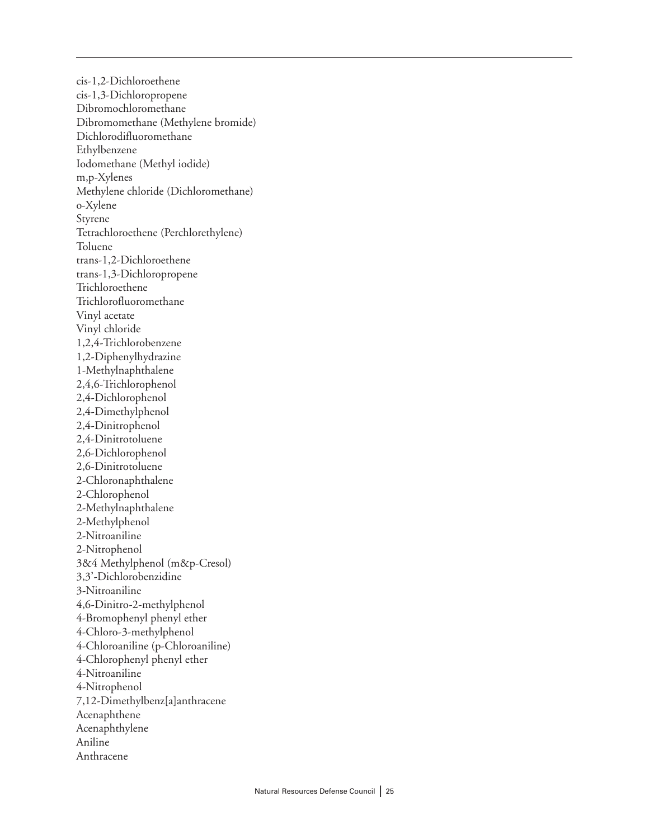cis-1,2-Dichloroethene cis-1,3-Dichloropropene Dibromochloromethane Dibromomethane (Methylene bromide) Dichlorodifluoromethane Ethylbenzene Iodomethane (Methyl iodide) m,p-Xylenes Methylene chloride (Dichloromethane) o-Xylene Styrene Tetrachloroethene (Perchlorethylene) Toluene trans-1,2-Dichloroethene trans-1,3-Dichloropropene Trichloroethene Trichlorofluoromethane Vinyl acetate Vinyl chloride 1,2,4-Trichlorobenzene 1,2-Diphenylhydrazine 1-Methylnaphthalene 2,4,6-Trichlorophenol 2,4-Dichlorophenol 2,4-Dimethylphenol 2,4-Dinitrophenol 2,4-Dinitrotoluene 2,6-Dichlorophenol 2,6-Dinitrotoluene 2-Chloronaphthalene 2-Chlorophenol 2-Methylnaphthalene 2-Methylphenol 2-Nitroaniline 2-Nitrophenol 3&4 Methylphenol (m&p-Cresol) 3,3'-Dichlorobenzidine 3-Nitroaniline 4,6-Dinitro-2-methylphenol 4-Bromophenyl phenyl ether 4-Chloro-3-methylphenol 4-Chloroaniline (p-Chloroaniline) 4-Chlorophenyl phenyl ether 4-Nitroaniline 4-Nitrophenol 7,12-Dimethylbenz[a]anthracene Acenaphthene Acenaphthylene Aniline Anthracene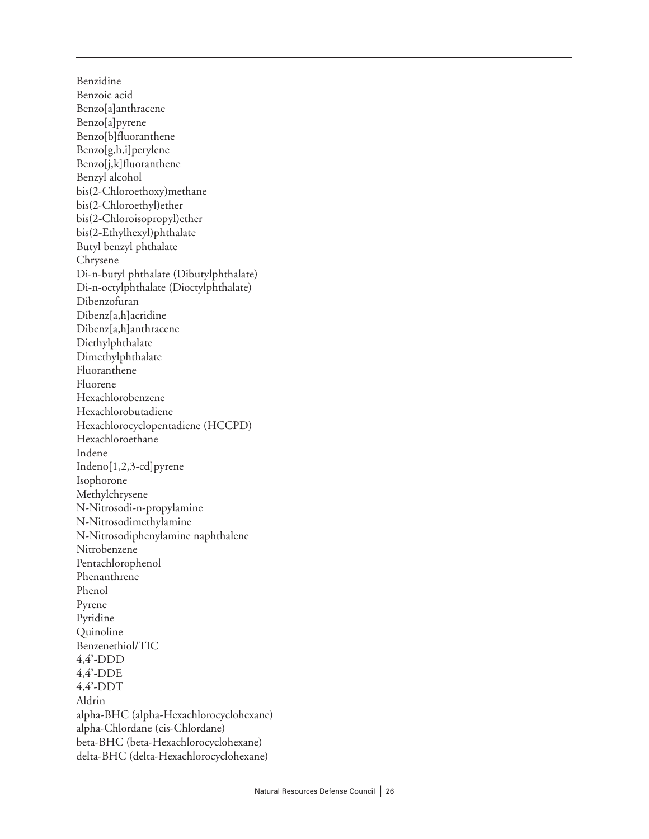Benzidine Benzoic acid Benzo[a]anthracene Benzo[a]pyrene Benzo[b]fluoranthene Benzo[g,h,i]perylene Benzo[j,k]fluoranthene Benzyl alcohol bis(2-Chloroethoxy)methane bis(2-Chloroethyl)ether bis(2-Chloroisopropyl)ether bis(2-Ethylhexyl)phthalate Butyl benzyl phthalate Chrysene Di-n-butyl phthalate (Dibutylphthalate) Di-n-octylphthalate (Dioctylphthalate) Dibenzofuran Dibenz[a,h]acridine Dibenz[a,h]anthracene Diethylphthalate Dimethylphthalate Fluoranthene Fluorene Hexachlorobenzene Hexachlorobutadiene Hexachlorocyclopentadiene (HCCPD) Hexachloroethane Indene Indeno[1,2,3-cd]pyrene Isophorone Methylchrysene N-Nitrosodi-n-propylamine N-Nitrosodimethylamine N-Nitrosodiphenylamine naphthalene Nitrobenzene Pentachlorophenol Phenanthrene Phenol Pyrene Pyridine Quinoline Benzenethiol/TIC 4,4'-DDD 4,4'-DDE 4,4'-DDT Aldrin alpha-BHC (alpha-Hexachlorocyclohexane) alpha-Chlordane (cis-Chlordane) beta-BHC (beta-Hexachlorocyclohexane) delta-BHC (delta-Hexachlorocyclohexane)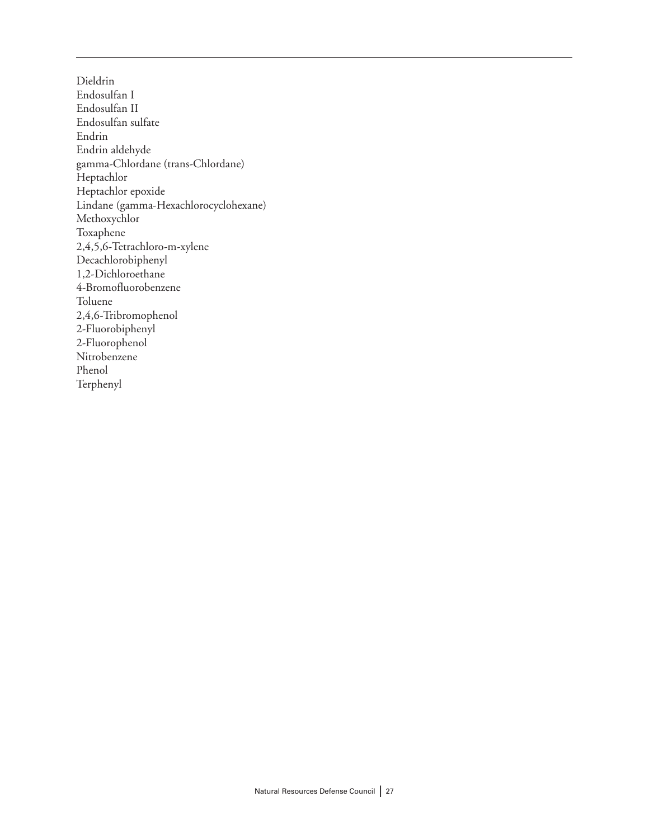Dieldrin Endosulfan I Endosulfan II Endosulfan sulfate Endrin Endrin aldehyde gamma-Chlordane (trans-Chlordane) Heptachlor Heptachlor epoxide Lindane (gamma-Hexachlorocyclohexane) Methoxychlor Toxaphene 2,4,5,6-Tetrachloro-m-xylene Decachlorobiphenyl 1,2-Dichloroethane 4-Bromofluorobenzene Toluene 2,4,6-Tribromophenol 2-Fluorobiphenyl 2-Fluorophenol Nitrobenzene Phenol Terphenyl